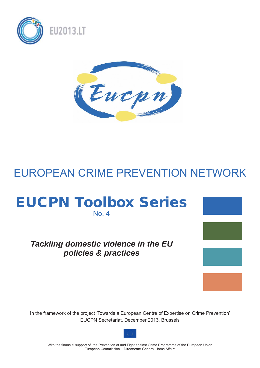



# EUROPEAN CRIME PREVENTION NETWORK

# EUCPN Toolbox Series No. 4

# *Tackling domestic violence in the EU policies & practices*

In the framework of the project 'Towards a European Centre of Expertise on Crime Prevention' EUCPN Secretariat, December 2013, Brussels



With the financial support of the Prevention of and Fight against Crime Programme of the European Union European Commission – Directorate-General Home Affairs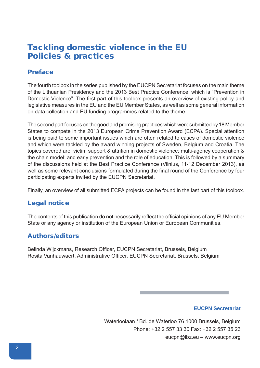# Tackling domestic violence in the EU Policies & practices

# Preface

The fourth toolbox in the series published by the EUCPN Secretariat focuses on the main theme of the Lithuanian Presidency and the 2013 Best Practice Conference, which is "Prevention in Domestic Violence". The first part of this toolbox presents an overview of existing policy and legislative measures in the EU and the EU Member States, as well as some general information on data collection and EU funding programmes related to the theme.

The second part focuses on the good and promising practices which were submitted by 18 Member States to compete in the 2013 European Crime Prevention Award (ECPA). Special attention is being paid to some important issues which are often related to cases of domestic violence and which were tackled by the award winning projects of Sweden, Belgium and Croatia. The topics covered are: victim support & attrition in domestic violence; multi-agency cooperation & the chain model; and early prevention and the role of education. This is followed by a summary of the discussions held at the Best Practice Conference (Vilnius, 11-12 December 2013), as well as some relevant conclusions formulated during the final round of the Conference by four participating experts invited by the EUCPN Secretariat.

Finally, an overview of all submitted ECPA projects can be found in the last part of this toolbox.

# Legal notice

The contents of this publication do not necessarily reflect the official opinions of any EU Member State or any agency or institution of the European Union or European Communities.

# Authors/editors

Belinda Wijckmans, Research Officer, EUCPN Secretariat, Brussels, Belgium Rosita Vanhauwaert, Administrative Officer, EUCPN Secretariat, Brussels, Belgium

# **EUCPN Secretariat**

Waterloolaan / Bd. de Waterloo 76 1000 Brussels, Belgium Phone: +32 2 557 33 30 Fax: +32 2 557 35 23 eucpn@ibz.eu – www.eucpn.org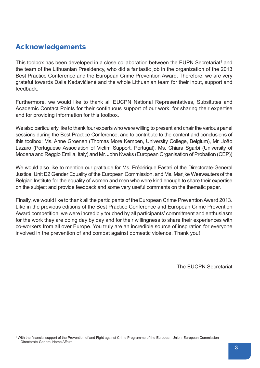# Acknowledgements

This toolbox has been developed in a close collaboration between the EUPN Secretariat<sup>1</sup> and the team of the Lithuanian Presidency, who did a fantastic job in the organization of the 2013 Best Practice Conference and the European Crime Prevention Award. Therefore, we are very grateful towards Dalia Kedavičienė and the whole Lithuanian team for their input, support and feedback.

Furthermore, we would like to thank all EUCPN National Representatives, Subsitutes and Academic Contact Points for their continuous support of our work, for sharing their expertise and for providing information for this toolbox.

We also particularly like to thank four experts who were willing to present and chair the various panel sessions during the Best Practice Conference, and to contribute to the content and conclusions of this toolbox: Ms. Anne Groenen (Thomas More Kempen, University College, Belgium), Mr. João Lazaro (Portuguese Association of Victim Support, Portugal), Ms. Chiara Sgarbi (University of Modena and Reggio Emilia, Italy) and Mr. John Kwaks (European Organisation of Probation (CEP))

We would also like to mention our gratitude for Ms. Frédérique Fastré of the Directorate-General Justice, Unit D2 Gender Equality of the European Commission, and Ms. Marijke Weewauters of the Belgian Institute for the equality of women and men who were kind enough to share their expertise on the subject and provide feedback and some very useful comments on the thematic paper.

Finally, we would like to thank all the participants of the European Crime Prevention Award 2013. Like in the previous editions of the Best Practice Conference and European Crime Prevention Award competition, we were incredibly touched by all participants' commitment and enthusiasm for the work they are doing day by day and for their willingness to share their experiences with co-workers from all over Europe. You truly are an incredible source of inspiration for everyone involved in the prevention of and combat against domestic violence. Thank you!

The EUCPN Secretariat

<sup>&</sup>lt;sup>1</sup> With the financial support of the Prevention of and Fight against Crime Programme of the European Union, European Commission – Directorate-General Home Affairs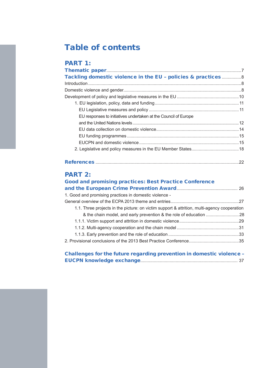# Table of contents

| <b>PART 1:</b>                                                  |  |
|-----------------------------------------------------------------|--|
|                                                                 |  |
| Tackling domestic violence in the EU - policies & practices8    |  |
|                                                                 |  |
|                                                                 |  |
|                                                                 |  |
|                                                                 |  |
|                                                                 |  |
| EU responses to initiatives undertaken at the Council of Europe |  |
|                                                                 |  |
|                                                                 |  |
|                                                                 |  |
|                                                                 |  |
|                                                                 |  |
|                                                                 |  |
|                                                                 |  |

# References ......................................................................................................................22

# PART 2:

| <b>Good and promising practices: Best Practice Conference</b>                               |  |
|---------------------------------------------------------------------------------------------|--|
|                                                                                             |  |
| 1. Good and promising practices in domestic violence -                                      |  |
|                                                                                             |  |
| 1.1. Three projects in the picture: on victim support & attrition, multi-agency cooperation |  |
|                                                                                             |  |
|                                                                                             |  |
|                                                                                             |  |
|                                                                                             |  |
|                                                                                             |  |
|                                                                                             |  |
| Challenges for the future regarding prevention in domestic violence -                       |  |

EUCPN knowledge exchange................................................................................ 37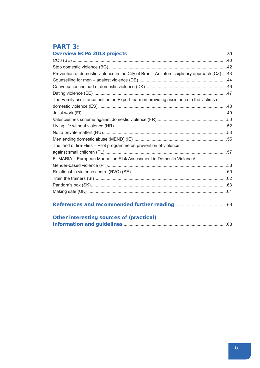# **PART 3:**

| Prevention of domestic violence in the City of Brno - An interdisciplinary approach (CZ) 43 |  |
|---------------------------------------------------------------------------------------------|--|
|                                                                                             |  |
|                                                                                             |  |
|                                                                                             |  |
| The Family assistance unit as an Expert team on providing assistance to the victims of      |  |
|                                                                                             |  |
|                                                                                             |  |
|                                                                                             |  |
|                                                                                             |  |
|                                                                                             |  |
|                                                                                             |  |
| The land of fire-Flies - Pilot programme on prevention of violence                          |  |
|                                                                                             |  |
| E- MARIA - European Manual on Risk Assessment in Domestic Violence/                         |  |
|                                                                                             |  |
|                                                                                             |  |
|                                                                                             |  |
|                                                                                             |  |
|                                                                                             |  |
|                                                                                             |  |
| <b>Other interesting sources of (practical)</b>                                             |  |
|                                                                                             |  |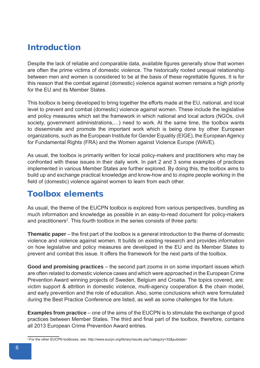# Introduction

Despite the lack of reliable and comparable data, available figures generally show that women are often the prime victims of domestic violence. The historically rooted unequal relationship between men and women is considered to be at the basis of these regrettable figures. It is for this reason that the combat against (domestic) violence against women remains a high priority for the EU and its Member States.

This toolbox is being developed to bring together the efforts made at the EU, national, and local level to prevent and combat (domestic) violence against women. These include the legislative and policy measures which set the framework in which national and local actors (NGOs, civil society, government administrations,…) need to work. At the same time, the toolbox wants to disseminate and promote the important work which is being done by other European organizations, such as the European Institute for Gender Equality (EIGE), the European Agency for Fundamental Rights (FRA) and the Women against Violence Europe (WAVE).

As usual, the toolbox is primarily written for local policy-makers and practitioners who may be confronted with these issues in their daily work. In part 2 and 3 some examples of practices implemented in various Member States are further explored. By doing this, the toolbox aims to build up and exchange practical knowledge and know-how and to inspire people working in the field of (domestic) violence against women to learn from each other.

# Toolbox elements

As usual, the theme of the EUCPN toolbox is explored from various perspectives, bundling as much information and knowledge as possible in an easy-to-read document for policy-makers and practitioners<sup>2</sup>. This fourth toolbox in the series consists of three parts:

**Thematic paper** – the first part of the toolbox is a general introduction to the theme of domestic violence and violence against women. It builds on existing research and provides information on how legislative and policy measures are developed in the EU and its Member States to prevent and combat this issue. It offers the framework for the next parts of the toolbox.

**Good and promising practices** – the second part zooms in on some important issues which are often related to domestic violence cases and which were approached in the European Crime Prevention Award winning projects of Sweden, Belgium and Croatia. The topics covered, are: victim support & attrition in domestic violence, multi-agency cooperation & the chain model, and early prevention and the role of education. Also, some conclusions which were formulated during the Best Practice Conference are listed, as well as some challenges for the future.

**Examples from practice** – one of the aims of the EUCPN is to stimulate the exchange of good practices between Member States. The third and final part of the toolbox, therefore, contains all 2013 European Crime Prevention Award entries.

<sup>&</sup>lt;sup>2</sup> For the other EUCPN toolboxes, see: http://www.eucpn.org/library/results.asp?category=32&pubdate=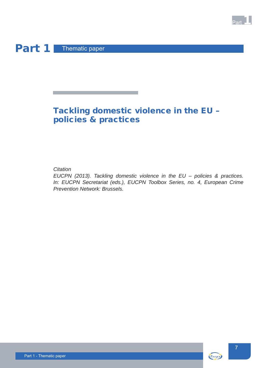# Part 1 Thematic paper

# Tackling domestic violence in the EU – policies & practices

# *Citation*

*EUCPN (2013). Tackling domestic violence in the EU – policies & practices. In: EUCPN Secretariat (eds.), EUCPN Toolbox Series, no. 4, European Crime Prevention Network: Brussels.*



**Part**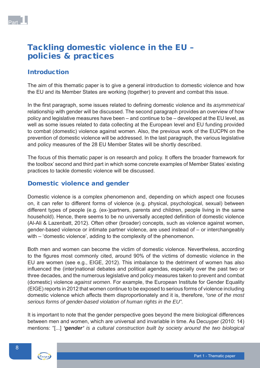# Tackling domestic violence in the EU – policies & practices

# Introduction

The aim of this thematic paper is to give a general introduction to domestic violence and how the EU and its Member States are working (together) to prevent and combat this issue.

In the first paragraph, some issues related to defining domestic violence and its *asymmetrical* relationship with gender will be discussed. The second paragraph provides an overview of how policy and legislative measures have been – and continue to be – developed at the EU level, as well as some issues related to data collecting at the European level and EU funding provided to combat (domestic) violence against women. Also, the previous work of the EUCPN on the prevention of domestic violence will be addressed. In the last paragraph, the various legislative and policy measures of the 28 EU Member States will be shortly described.

The focus of this thematic paper is on research and policy. It offers the broader framework for the toolbox' second and third part in which some concrete examples of Member States' existing practices to tackle domestic violence will be discussed.

# Domestic violence and gender

Domestic violence is a complex phenomenon and, depending on which aspect one focuses on, it can refer to different forms of violence (e.g. physical, psychological, sexual) between different types of people (e.g. (ex-)partners, parents and children, people living in the same household). Hence, there seems to be no universally accepted definition of domestic violence (Al-Ali & Lazenbatt, 2012). Often other (broader) concepts, such as violence against women, gender-based violence or intimate partner violence, are used instead of – or interchangeably with – 'domestic violence', adding to the complexity of the phenomenon.

Both men and women can become the victim of domestic violence. Nevertheless, according to the figures most commonly cited, around 90% of the victims of domestic violence in the EU are women (see e.g., EIGE, 2012). This imbalance to the detriment of women has also influenced the (inter)national debates and political agendas, especially over the past two or three decades, and the numerous legislative and policy measures taken to prevent and combat (domestic) violence *against women*. For example, the European Institute for Gender Equality (EIGE) reports in 2012 that women continue to be exposed to serious forms of violence including domestic violence which affects them disproportionately and it is, therefore, *"one of the most serious forms of gender-based violation of human rights in the EU".*

It is important to note that the gender perspective goes beyond the mere biological differences between men and women, which are universal and invariable in time. As Decuyper (2010: 14) mentions: "[...] *'gender' is a cultural construction built by society around the two biological* 

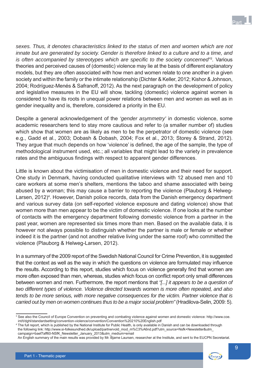

*sexes. Thus, it denotes characteristics linked to the status of men and women which are not innate but are generated by society. Gender is therefore linked to a culture and to a time, and*  is often accompanied by stereotypes which are specific to the society concerned<sup>"3</sup>. Various theories and perceived causes of (domestic) violence may lie at the basis of different explanatory models, but they are often associated with how men and women relate to one another in a given society and within the family or the intimate relationship (Dichter & Keller, 2012; Kishor & Johnson, 2004; Rodríguez-Menés & Safranoff, 2012). As the next paragraph on the development of policy and legislative measures in the EU will show, tackling (domestic) violence against women is considered to have its roots in unequal power relations between men and women as well as in gender inequality and is, therefore, considered a priority in the EU.

Despite a general acknowledgement of the *'gender asymmetry'* in domestic violence, some academic researchers tend to stay more cautious and refer to (a smaller number of) studies which show that women are as likely as men to be the perpetrator of domestic violence (see e.g., Gadd et al., 2003; Dobash & Dobash, 2004; Fox et al., 2013; Storey & Strand, 2012). They argue that much depends on how 'violence' is defined, the age of the sample, the type of methodological instrument used, etc.; all variables that might lead to the variety in prevalence rates and the ambiguous findings with respect to apparent gender differences.

Little is known about the victimisation of men in domestic violence and their need for support. One study in Denmark, having conducted qualitative interviews with 12 abused men and 10 care workers at some men's shelters, mentions the taboo and shame associated with being abused by a woman; this may cause a barrier to reporting the violence (Plauborg & Helweg-Larsen, 2012)<sup>4</sup>. However, Danish police records, data from the Danish emergency department and various survey data (on self-reported violence exposure and dating violence) show that women more than men appear to be the victim of domestic violence. If one looks at the number of contacts with the emergency department following domestic violence from a partner in the past year, women are represented six times more than men. Based on the available data, it is however not always possible to distinguish whether the partner is male or female or whether indeed it is the partner (and not another relative living under the same roof) who committed the violence (Plauborg & Helweg-Larsen, 2012).

In a summary of the 2009 report of the Swedish National Council for Crime Prevention, it is suggested that the context as well as the way in which the questions on violence are formulated may influence the results. According to this report, studies which focus on violence generally find that women are more often exposed than men, whereas, studies which focus on conflict report only small differences between women and men. Furthermore, the report mentions that *"[...] it appears to be a question of two different types of violence. Violence directed towards women is more often repeated, and also tends to be more serious, with more negative consequences for the victim. Partner violence that is carried out by men on women continues thus to be a major social problem"* (Hradilova-Selin, 2009: 5).

An English summary of the main results was provided by Mr. Bjarne Laursen, researcher at the Institute, and sent to the EUCPN Secretariat.



<sup>3</sup> See also the Council of Europe Convention on preventing and combating violence against women and domestic violence: http://www.coe. int/t/dghl/standardsetting/convention-violence/convention/Convention%20210%20English.pdf

<sup>4</sup> The full report, which is published by the National Institute for Public Health, is only available in Danish and can be downloaded through the following link: http://www.si-folkesundhed.dk/upload/partnervold\_mod\_m%C3%A6nd.pdf?utm\_source=Nsfk+Newsletter&utm\_ campaign=baef7aff60-NSfK\_Newsletter\_January\_2013&utm\_medium=email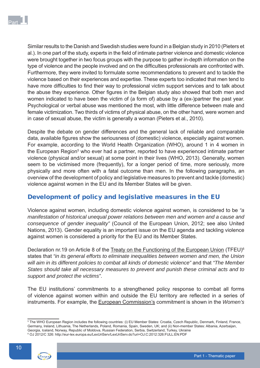Similar results to the Danish and Swedish studies were found in a Belgian study in 2010 (Pieters et al.). In one part of the study, experts in the field of intimate partner violence and domestic violence were brought together in two focus groups with the purpose to gather in-depth information on the type of violence and the people involved and on the difficulties professionals are confronted with. Furthermore, they were invited to formulate some recommendations to prevent and to tackle the violence based on their experiences and expertise. These experts too indicated that men tend to have more difficulties to find their way to professional victim support services and to talk about the abuse they experience. Other figures in the Belgian study also showed that both men and women indicated to have been the victim of (a form of) abuse by a (ex-)partner the past year. Psychological or verbal abuse was mentioned the most, with little difference between male and female victimization. Two thirds of victims of physical abuse, on the other hand, were women and in case of sexual abuse, the victim is generally a woman (Pieters et al., 2010).

Despite the debate on gender differences and the general lack of reliable and comparable data, available figures show the seriousness of (domestic) violence, especially against women. For example, according to the World Health Organization (WHO), around 1 in 4 women in the European Region<sup>5</sup> who ever had a partner, reported to have experienced intimate partner violence (physical and/or sexual) at some point in their lives (WHO, 2013). Generally, women seem to be victimised more (frequently), for a longer period of time, more seriously, more physically and more often with a fatal outcome than men. In the following paragraphs, an overview of the development of policy and legislative measures to prevent and tackle (domestic) violence against women in the EU and its Member States will be given.

# Development of policy and legislative measures in the EU

Violence against women, including domestic violence against women, is considered to be *"a manifestation of historical unequal power relations between men and women and a cause and consequence of gender inequality"* (Council of the European Union, 2012; see also United Nations, 2013). Gender equality is an important issue on the EU agenda and tackling violence against women is considered a priority for the EU and its Member States.

Declaration nr.19 on Article 8 of the Treaty on the Functioning of the European Union (TFEU)<sup>6</sup> states that *"in its general efforts to eliminate inequalities between women and men, the Union will aim in its different policies to combat all kinds of domestic violence"* and that *"The Member States should take all necessary measures to prevent and punish these criminal acts and to support and protect the victims"*.

The EU institutions' commitments to a strengthened policy response to combat all forms of violence against women within and outside the EU territory are reflected in a series of instruments. For example, the European Commission's commitment is shown in the *Women's* 

<sup>6</sup> OJ 2012/C 326: http://eur-lex.europa.eu/LexUriServ/LexUriServ.do?uri=OJ:C:2012:326:FULL:EN:PDF



<sup>5</sup> The WHO European Region includes the following countries: (i) EU Member States: Croatia, Czech Republic, Denmark, Finland, France, Germany, Ireland, Lithuania, The Netherlands, Poland, Romania, Spain, Sweden, UK; and (ii) Non-member States: Albania, Azerbaijan, Georgia, Iceland, Norway, Republic of Moldova, Russian Federation, Serbia, Switzerland, Turkey, Ukraine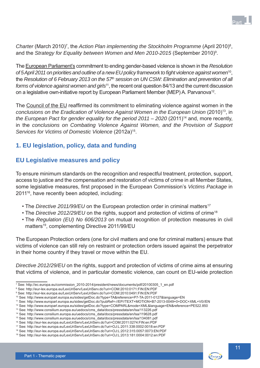Charter (March 2010)<sup>7</sup>, the *Action Plan implementing the Stockholm Programme* (April 2010)<sup>8</sup>, and the Strategy for Equality between Women and Men 2010-2015 (September 2010)<sup>9</sup>.

The European Parliament's commitment to ending gender-based violence is shown in the *Resolution of 5 April 2011 on priorities and outline of a new EU policy framework to fi ght violence against women*10, the *Resolution of 6 February 2013 on the 57<sup>th</sup> session on UN CSW: Elimination and prevention of all forms of violence against women and girls*11, the recent oral question 84/13 and the current discussion on a legislative own-initiative report by European Parliament Member (MEP) A. Parvanova<sup>12</sup>.

The Council of the EU reaffirmed its commitment to eliminating violence against women in the *conclusions on the Eradication of Violence Against Women in the European Union* (2010)<sup>13</sup>, in *the European Pact for gender equality for the period 2011 – 2020* (2011)<sup>14</sup> and, more recently, in the *conclusions on Combating Violence Against Women, and the Provision of Support Services for Victims of Domestic Violence* (2012a)15.

# **1. EU legislation, policy, data and funding**

# **EU Legislative measures and policy**

To ensure minimum standards on the recognition and respectful treatment, protection, support, access to justice and the compensation and restoration of victims of crime in all Member States, some legislative measures, first proposed in the European Commission's *Victims Package* in 201116, have recently been adopted, including:

- The *Directive 2011/99/EU* on the European protection order in criminal matters<sup>17</sup>
- The *Directive 2012/29/EU* on the rights, support and protection of victims of crime<sup>18</sup>
- The *Regulation (EU) No 606/2013* on mutual recognition of protection measures in civil matters<sup>19</sup>, complementing Directive 2011/99/EU

The European Protection orders (one for civil matters and one for criminal matters) ensure that victims of violence can still rely on restraint or protection orders issued against the perpetrator in their home country if they travel or move within the EU.

*Directive 2012/29/EU* on the rights, support and protection of victims of crime aims at ensuring that victims of violence, and in particular domestic violence, can count on EU-wide protection



<sup>7</sup> See: http://ec.europa.eu/commission\_2010-2014/president/news/documents/pdf/20100305\_1\_en.pdf

<sup>8</sup> See: http://eur-lex.europa.eu/LexUriServ/LexUriServ.do?uri=COM:2010:0171:FIN:EN:PDF

<sup>9</sup> See: http://eur-lex.europa.eu/LexUriServ/LexUriServ.do?uri=COM:2010:0491:FIN:EN:PDF 10 See: http://www.europarl.europa.eu/sides/getDoc.do?type=TA&reference=P7-TA-2011-0127&language=EN

<sup>11</sup> See: http://www.europarl.europa.eu/sides/getDoc.do?pubRef=-//EP//TEXT+MOTION+B7-2013-0049+0+DOC+XML+V0//EN

<sup>12</sup> See: http://www.europarl.europa.eu/sides/getDoc.do?type=COMPARL&mode=XML&language=EN&reference=PE522.850

<sup>13</sup> See: http://www.consilium.europa.eu/uedocs/cms\_data/docs/pressdata/en/lsa/113226.pdf

<sup>14</sup> See: http://www.consilium.europa.eu/uedocs/cms\_data/docs/pressdata/en/lsa/119628.pdf

<sup>15</sup> See: http://www.consilium.europa.eu/uedocs/cms\_data/docs/pressdata/en/lsa/134081.pdf

<sup>16</sup> See: http://eur-lex.europa.eu/LexUriServ/LexUriServ.do?uri=COM:2011:0274:FIN:en:PDF

<sup>17</sup> See: http://eur-lex.europa.eu/LexUriServ/LexUriServ.do?uri=OJ:L:2011:338:0002:0018:en:PDF

<sup>18</sup> See: http://eur-lex.europa.eu/LexUriServ/LexUriServ.do?uri=OJ:L:2012:315:0057:0073:EN:PDF

<sup>19</sup> See: http://eur-lex.europa.eu/LexUriServ/LexUriServ.do?uri=OJ:L:2013:181:0004:0012:en:PDF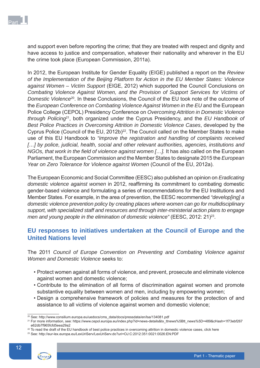

and support even before reporting the crime; that they are treated with respect and dignity and have access to justice and compensation, whatever their nationality and wherever in the EU the crime took place (European Commission, 2011a).

In 2012, the European Institute for Gender Equality (EIGE) published a report on the *Review of the Implementation of the Beijing Platform for Action in the EU Member States: Violence against Women – Victim Support* (EIGE, 2012) which supported the Council Conclusions on *Combating Violence Against Women, and the Provision of Support Services for Victims of Domestic Violence*20. In these Conclusions, the Council of the EU took note of the outcome of the *European Conference on Combating Violence Against Women in the EU* and the European Police College (CEPOL) Presidency Conference on *Overcoming Attrition in Domestic Violence through Policing*21, both organized under the Cyprus Presidency, and the *EU Handbook of Best Police Practices in Overcoming Attrition in Domestic Violence Cases*, developed by the Cyprus Police (Council of the EU, 2012b) $^{22}$ . The Council called on the Member States to make use of this EU Handbook to *"improve the registration and handling of complaints received*  [...] by police, judicial, health, social and other relevant authorities, agencies, institutions and *NGOs, that work in the field of violence against women [...].* It has also called on the European Parliament, the European Commission and the Member States to designate 2015 the *European Year on Zero Tolerance for Violence against Women* (Council of the EU, 2012a).

The European Economic and Social Committee (EESC) also published an opinion on *Eradicating*  domestic violence against women in 2012, reaffirming its commitment to combating domestic gender-based violence and formulating a series of recommendations for the EU Institutions and Member States. For example, in the area of prevention, the EESC recommended *"develop[ing] a domestic violence prevention policy by creating places where women can go for multidisciplinary support, with specialized staff and resources and through inter-ministerial action plans to engage men and young people in the elimination of domestic violence"* (EESC, 2012: 21)<sup>23</sup>.

# **EU responses to initiatives undertaken at the Council of Europe and the United Nations level**

The 2011 *Council of Europe Convention on Preventing and Combating Violence against Women and Domestic Violence* seeks to:

- Protect women against all forms of violence, and prevent, prosecute and eliminate violence against women and domestic violence;
- Contribute to the elimination of all forms of discrimination against women and promote substantive equality between women and men, including by empowering women;
- Design a comprehensive framework of policies and measures for the protection of and assistance to all victims of violence against women and domestic violence;

<sup>23</sup> See: http://eur-lex.europa.eu/LexUriServ/LexUriServ.do?uri=OJ:C:2012:351:0021:0026:EN:PDF



<sup>20</sup> See: http://www.consilium.europa.eu/uedocs/cms\_data/docs/pressdata/en/lsa/134081.pdf

<sup>&</sup>lt;sup>21</sup> For more information, see: https://www.cepol.europa.eu/index.php?id=news-details&tx\_ttnews%5Btt\_news%5D=489&cHash=1f73ebf267 e62db7f965fcfd5eea29a2

<sup>&</sup>lt;sup>22</sup> To read the draft of the EU handbook of best police practices in overcoming attrition in domestic violence cases, click here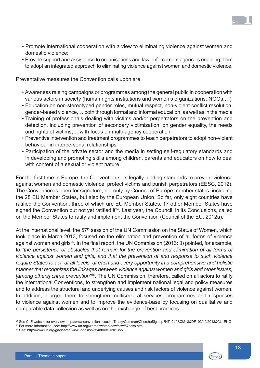- Promote international cooperation with a view to eliminating violence against women and domestic violence;
- Provide support and assistance to organisations and law enforcement agencies enabling them to adopt an integrated approach to eliminating violence against women and domestic violence.

Preventative measures the Convention calls upon are:

- Awareness raising campaigns or programmes among the general public in cooperation with various actors in society (human rights institutions and women's organizations, NGOs....)
- Education on non-stereotyped gender roles, mutual respect, non-violent conflict resolution, gender-based violence,… both through formal and informal education, as well as in the media
- Training of professionals dealing with victims and/or perpetrators on the prevention and detection, including prevention of secondary victimization, on gender equality, the needs and rights of victims,… with focus on multi-agency cooperation
- Preventive intervention and treatment programmes to teach perpetrators to adopt non-violent behaviour in interpersonal relationships
- Participation of the private sector and the media in setting self-regulatory standards and in developing and promoting skills among children, parents and educators on how to deal with content of a sexual or violent nature

For the first time in Europe, the Convention sets legally binding standards to prevent violence against women and domestic violence, protect victims and punish perpetrators (EESC, 2012). The Convention is open for signature, not only by Council of Europe member states, including the 28 EU Member States, but also by the European Union. So far, only eight countries have ratified the Convention, three of which are EU Member States. 17 other Member States have signed the Convention but not yet ratified it<sup>24</sup>. Last year, the Council, in its Conclusions, called on the Member States to ratify and implement the Convention (Council of the EU, 2012a).

At the international level, the 57<sup>th</sup> session of the UN Commission on the Status of Women, which took place in March 2013, focused on the elimination and prevention of all forms of violence against women and girls<sup>25</sup>. In the final report, the UN Commission (2013: 3) pointed, for example, to *"the persistence of obstacles that remain for the prevention and elimination of all forms of violence against women and girls, and that the prevention of and response to such violence require States to act, at all levels, at each and every opportunity in a comprehensive and holistic manner that recognizes the linkages between violence against women and girls and other issues, [among others] crime prevention"*26. The UN Commission, therefore, called on all actors to ratify the international Conventions, to strengthen and implement national legal and policy measures and to address the structural and underlying causes and risk factors of violence against women. In addition, it urged them to strengthen multisectoral services, programmes and responses to violence against women and to improve the evidence-base by focusing on qualitative and comparable data collection as well as on the exchange of best practices.



Part 1

<sup>&</sup>lt;sup>24</sup> See CoE website for overview: http://www.conventions.coe.int/Treaty/Commun/ChercheSig.asp?NT=210&CM=8&DF=03/12/2013&CL=ENG

<sup>25</sup> For more information, see: http://www.un.org/womenwatch/daw/csw/57sess.htm

<sup>26</sup> See: http://www.un.org/ga/search/view\_doc.asp?symbol=E/2013/27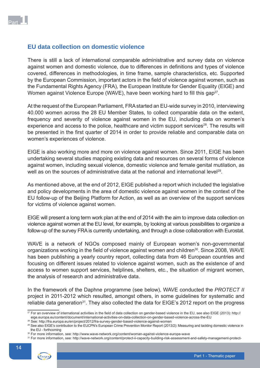

# **EU data collection on domestic violence**

There is still a lack of international comparable administrative and survey data on violence against women and domestic violence, due to differences in definitions and types of violence covered, differences in methodologies, in time frame, sample characteristics, etc. Supported by the European Commission, important actors in the field of violence against women, such as the Fundamental Rights Agency (FRA), the European Institute for Gender Equality (EIGE) and Women against Violence Europe (WAVE), have been working hard to fill this gap<sup>27</sup>.

At the request of the European Parliament, FRA started an EU-wide survey in 2010, interviewing 40.000 women across the 28 EU Member States, to collect comparable data on the extent, frequency and severity of violence against women in the EU, including data on women's experience and access to the police, healthcare and victim support services<sup>28</sup>. The results will be presented in the first quarter of 2014 in order to provide reliable and comparable data on women's experiences of violence.

EIGE is also working more and more on violence against women. Since 2011, EIGE has been undertaking several studies mapping existing data and resources on several forms of violence against women, including sexual violence, domestic violence and female genital mutilation, as well as on the sources of administrative data at the national and international level<sup>29</sup>.

As mentioned above, at the end of 2012, EIGE published a report which included the legislative and policy developments in the area of domestic violence against women in the context of the EU follow-up of the Beijing Platform for Action, as well as an overview of the support services for victims of violence against women.

EIGE will present a long term work plan at the end of 2014 with the aim to improve data collection on violence against women at the EU level, for example, by looking at various possibilities to organize a follow-up of the survey FRA is currently undertaking, and through a close collaboration with Eurostat.

WAVE is a network of NGOs composed mainly of European women's non-governmental organizations working in the field of violence against women and children<sup>30</sup>. Since 2008, WAVE has been publishing a yearly country report, collecting data from 46 European countries and focusing on different issues related to violence against women, such as the existence of and access to women support services, helplines, shelters, etc., the situation of migrant women, the analysis of research and administrative data.

In the framework of the Daphne programme (see below), WAVE conducted the *PROTECT II* project in 2011-2012 which resulted, amongst others, in some guidelines for systematic and reliable data generation<sup>31</sup>. They also collected the data for EIGE's 2012 report on the progress

eige.europa.eu/content/document/international-activities-on-data-collection-on-gender-based-violence-across-the-EU<br><sup>28</sup> See: http://fra.europa.eu/en/project/2012/fra-survey-gender-based-violence-against-women

<sup>31</sup> For more information, see: http://wave-network.org/content/protect-ii-capacity-building-risk-assessment-and-safety-management-protect-



<sup>&</sup>lt;sup>27</sup> For an overview of international activities in the field of data collection on gender-based violence in the EU, see also EIGE (2013): http://

<sup>&</sup>lt;sup>29</sup> See also EIGE's contribution to the EUCPN's European Crime Prevention Monitor Report (2013/2): Measuring and tackling domestic violence in the EU - forthcoming

<sup>30</sup> For more information, see: http://www.wave-network.org/content/woman-against-violence-europe-wave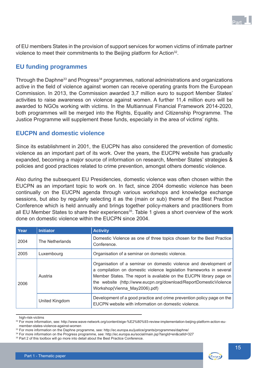

of EU members States in the provision of support services for women victims of intimate partner violence to meet their commitments to the Beijing platform for Action<sup>32</sup>.

# **EU funding programmes**

Through the Daphne<sup>33</sup> and Progress<sup>34</sup> programmes, national administrations and organizations active in the field of violence against women can receive operating grants from the European Commission. In 2013, the Commission awarded 3,7 million euro to support Member States' activities to raise awareness on violence against women. A further 11,4 million euro will be awarded to NGOs working with victims. In the Multiannual Financial Framework 2014-2020, both programmes will be merged into the Rights, Equality and Citizenship Programme. The Justice Programme will supplement these funds, especially in the area of victims' rights.

# **EUCPN and domestic violence**

Since its establishment in 2001, the EUCPN has also considered the prevention of domestic violence as an important part of its work. Over the years, the EUCPN website has gradually expanded, becoming a major source of information on research, Member States' strategies & policies and good practices related to crime prevention, amongst others domestic violence.

Also during the subsequent EU Presidencies, domestic violence was often chosen within the EUCPN as an important topic to work on. In fact, since 2004 domestic violence has been continually on the EUCPN agenda through various workshops and knowledge exchange sessions, but also by regularly selecting it as the (main or sub) theme of the Best Practice Conference which is held annually and brings together policy-makers and practitioners from all EU Member States to share their experiences<sup>35</sup>. Table 1 gives a short overview of the work done on domestic violence within the EUCPN since 2004.

| Year | <b>Initiator</b> | <b>Activity</b>                                                                                                                                                                                                                                                                                                        |  |
|------|------------------|------------------------------------------------------------------------------------------------------------------------------------------------------------------------------------------------------------------------------------------------------------------------------------------------------------------------|--|
| 2004 | The Netherlands  | Domestic Violence as one of three topics chosen for the Best Practice<br>Conference.                                                                                                                                                                                                                                   |  |
| 2005 | Luxembourg       | Organisation of a seminar on domestic violence.                                                                                                                                                                                                                                                                        |  |
| 2006 | Austria          | Organisation of a seminar on domestic violence and development of<br>a compilation on domestic violence legislation frameworks in several<br>Member States. The report is available on the EUCPN library page on<br>the website (http://www.eucpn.org/download/ReportDomesticViolence<br>Workshop(Vienna May2006).pdf) |  |
|      | United Kingdom   | Development of a good practice and crime prevention policy page on the<br>EUCPN website with information on domestic violence.                                                                                                                                                                                         |  |

high-risk-victims

<sup>32</sup> For more information, see: http://www.wave-network.org/content/eige-%E2%80%93-review-implementation-beijing-platform-action-eumember-states-violence-against-women

<sup>33</sup> For more information on the Daphne programme, see: http://ec.europa.eu/justice/grants/programmes/daphne/

<sup>34</sup> For more information on the Progress programme, see: http://ec.europa.eu/social/main.jsp?langId=en&catId=327

<sup>&</sup>lt;sup>35</sup> Part 2 of this toolbox will go more into detail about the Best Practice Conference.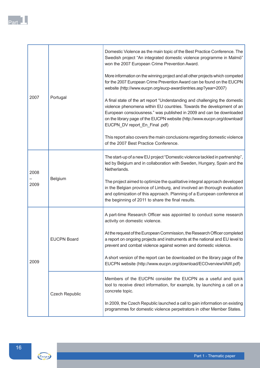| 2007 |                       | Domestic Violence as the main topic of the Best Practice Conference. The<br>Swedish project "An integrated domestic violence programme in Malmö"<br>won the 2007 European Crime Prevention Award.                                                                                                                                          |
|------|-----------------------|--------------------------------------------------------------------------------------------------------------------------------------------------------------------------------------------------------------------------------------------------------------------------------------------------------------------------------------------|
|      | Portugal              | More information on the winning project and all other projects which competed<br>for the 2007 European Crime Prevention Award can be found on the EUCPN<br>website (http://www.eucpn.org/eucp-award/entries.asp?year=2007)                                                                                                                 |
|      |                       | A final state of the art report "Understanding and challenging the domestic<br>violence phenomena within EU countries. Towards the development of an<br>European consciousness." was published in 2009 and can be downloaded<br>on the library page of the EUCPN website (http://www.eucpn.org/download/<br>EUCPN_DV report_En_Final .pdf) |
|      |                       | This report also covers the main conclusions regarding domestic violence<br>of the 2007 Best Practice Conference.                                                                                                                                                                                                                          |
| 2008 |                       | The start-up of a new EU project "Domestic violence tackled in partnership",<br>led by Belgium and in collaboration with Sweden, Hungary, Spain and the<br>Netherlands.                                                                                                                                                                    |
| 2009 | Belgium               | The project aimed to optimize the qualitative integral approach developed<br>in the Belgian province of Limburg, and involved an thorough evaluation<br>and optimization of this approach. Planning of a European conference at<br>the beginning of 2011 to share the final results.                                                       |
|      |                       | A part-time Research Officer was appointed to conduct some research<br>activity on domestic violence.                                                                                                                                                                                                                                      |
|      | <b>EUCPN Board</b>    | At the request of the European Commission, the Research Officer completed<br>a report on ongoing projects and instruments at the national and EU level to<br>prevent and combat violence against women and domestic violence.                                                                                                              |
| 2009 |                       | A short version of the report can be downloaded on the library page of the<br>EUCPN website (http://www.eucpn.org/download/ECOverviewVAW.pdf)                                                                                                                                                                                              |
|      | <b>Czech Republic</b> | Members of the EUCPN consider the EUCPN as a useful and quick<br>tool to receive direct information, for example, by launching a call on a<br>concrete topic.                                                                                                                                                                              |
|      |                       | In 2009, the Czech Republic launched a call to gain information on existing<br>programmes for domestic violence perpetrators in other Member States.                                                                                                                                                                                       |

f



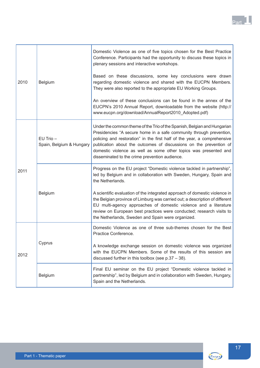

|      |                                           | Domestic Violence as one of five topics chosen for the Best Practice<br>Conference. Participants had the opportunity to discuss these topics in<br>plenary sessions and interactive workshops.                                                                                                                                                                                                                          |
|------|-------------------------------------------|-------------------------------------------------------------------------------------------------------------------------------------------------------------------------------------------------------------------------------------------------------------------------------------------------------------------------------------------------------------------------------------------------------------------------|
| 2010 | Belgium                                   | Based on these discussions, some key conclusions were drawn<br>regarding domestic violence and shared with the EUCPN Members.<br>They were also reported to the appropriate EU Working Groups.                                                                                                                                                                                                                          |
|      |                                           | An overview of these conclusions can be found in the annex of the<br>EUCPN's 2010 Annual Report, downloadable from the website (http://<br>www.eucpn.org/download/AnnualReport2010_Adopted.pdf)                                                                                                                                                                                                                         |
|      | $EU$ Trio $-$<br>Spain, Belgium & Hungary | Under the common theme of the Trio of the Spanish, Belgian and Hungarian<br>Presidencies "A secure home in a safe community through prevention,<br>policing and restoration" in the first half of the year, a comprehensive<br>publication about the outcomes of discussions on the prevention of<br>domestic violence as well as some other topics was presented and<br>disseminated to the crime prevention audience. |
| 2011 |                                           | Progress on the EU project "Domestic violence tackled in partnership",<br>led by Belgium and in collaboration with Sweden, Hungary, Spain and<br>the Netherlands.                                                                                                                                                                                                                                                       |
|      | Belgium                                   | A scientific evaluation of the integrated approach of domestic violence in<br>the Belgian province of Limburg was carried out; a description of different<br>EU multi-agency approaches of domestic violence and a literature<br>review on European best practices were conducted; research visits to<br>the Netherlands, Sweden and Spain were organized.                                                              |
|      | Cyprus                                    | Domestic Violence as one of three sub-themes chosen for the Best<br>Practice Conference.                                                                                                                                                                                                                                                                                                                                |
| 2012 |                                           | A knowledge exchange session on domestic violence was organized<br>with the EUCPN Members. Some of the results of this session are<br>discussed further in this toolbox (see $p.37 - 38$ ).                                                                                                                                                                                                                             |
|      | Belgium                                   | Final EU seminar on the EU project "Domestic violence tackled in<br>partnership", led by Belgium and in collaboration with Sweden, Hungary,<br>Spain and the Netherlands.                                                                                                                                                                                                                                               |



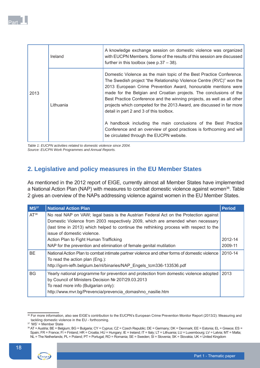|      | Ireland   | A knowledge exchange session on domestic violence was organized<br>with EUCPN Members. Some of the results of this session are discussed<br>further in this toolbox (see $p.37 - 38$ ).                                                                                                                                                                                                                                                                                                                                                                                                                                       |
|------|-----------|-------------------------------------------------------------------------------------------------------------------------------------------------------------------------------------------------------------------------------------------------------------------------------------------------------------------------------------------------------------------------------------------------------------------------------------------------------------------------------------------------------------------------------------------------------------------------------------------------------------------------------|
| 2013 | Lithuania | Domestic Violence as the main topic of the Best Practice Conference.<br>The Swedish project "the Relationship Violence Centre (RVC)" won the<br>2013 European Crime Prevention Award, honourable mentions were<br>made for the Belgian and Croatian projects. The conclusions of the<br>Best Practice Conference and the winning projects, as well as all other<br>projects which competed for the 2013 Award, are discussed in far more<br>detail in part 2 and 3 of this toolbox.<br>A handbook including the main conclusions of the Best Practice<br>Conference and an overview of good practices is forthcoming and will |
|      |           | be circulated through the EUCPN website.                                                                                                                                                                                                                                                                                                                                                                                                                                                                                                                                                                                      |

*Table 1: EUCPN activities related to domestic violence since 2004. Source: EUCPN Work Programmes and Annual Reports.*

# **2. Legislative and policy measures in the EU Member States**

As mentioned in the 2012 report of EIGE, currently almost all Member States have implemented a National Action Plan (NAP) with measures to combat domestic violence against women<sup>36</sup>. Table 2 gives an overview of the NAPs addressing violence against women in the EU Member States.

| MS <sup>37</sup> | <b>National Action Plan</b>                                                                                                                                                                                                                                                                        | <b>Period</b> |
|------------------|----------------------------------------------------------------------------------------------------------------------------------------------------------------------------------------------------------------------------------------------------------------------------------------------------|---------------|
| $AT^{38}$        | No real NAP on VAW; legal basis is the Austrian Federal Act on the Protection against<br>Domestic Violence from 2003 respectively 2009, which are amended when necessary<br>(last time in 2013) which helped to continue the rethinking process with respect to the<br>issue of domestic violence. |               |
|                  | Action Plan to Fight Human Trafficking                                                                                                                                                                                                                                                             | 2012-14       |
|                  | NAP for the prevention and elimination of female genital mutilation                                                                                                                                                                                                                                | 2009-11       |
| <b>BE</b>        | National Action Plan to combat intimate partner violence and other forms of domestic violence<br>To read the action plan (Eng.):<br>http://igvm-iefh.belgium.be/nl/binaries/NAP Engels tcm336-133536.pdf                                                                                           | 2010-14       |
| <b>BG</b>        | Yearly national programme for prevention and protection from domestic violence adopted<br>by Council of Ministers Decision № 207/29.03.2013<br>To read more info (Bulgarian only):<br>http://www.mvr.bg/Prevencia/prevencia domashno nasilie.htm                                                   | 2013          |

<sup>36</sup> For more information, also see EIGE's contribution to the EUCPN's European Crime Prevention Monitor Report (2013/2): Measuring and tackling domestic violence in the EU - forthcoming.

<sup>38</sup> AT = Austria; BE = Belgium; BG = Bulgaria; CY = Cyprus; CZ = Czech Republic; DE = Germany; DK = Denmark; EE = Estonia; EL = Greece; ES = Spain; FR = France; FI = Finland; HR = Croatia; HU = Hungary; IE = Ireland; IT = Italy; LT = Lithuania; LU = Luxembourg; LV = Latvia; MT = Malta; NL = The Netherlands; PL = Poland; PT = Portugal; RO = Romania; SE = Sweden; SI = Slovenia; SK = Slovakia; UK = United Kingdom



 $37$  'MS' = Member State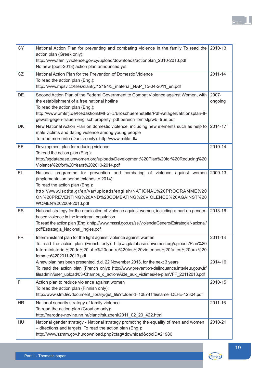

| <b>CY</b> | National Action Plan for preventing and combating violence in the family To read the<br>action plan (Greek only):<br>http://www.familyviolence.gov.cy/upload/downloads/actionplan_2010-2013.pdf<br>No new (post-2013) action plan announced yet                                                                                                  | 2010-13            |
|-----------|--------------------------------------------------------------------------------------------------------------------------------------------------------------------------------------------------------------------------------------------------------------------------------------------------------------------------------------------------|--------------------|
| CZ        | National Action Plan for the Prevention of Domestic Violence<br>To read the action plan (Eng.):<br>http://www.mpsv.cz/files/clanky/12194/5_material_NAP_15-04-2011_en.pdf                                                                                                                                                                        | 2011-14            |
| DE        | Second Action Plan of the Federal Government to Combat Violence against Women, with<br>the establishment of a free national hotline<br>To read the action plan (Eng.):<br>http://www.bmfsfj.de/RedaktionBMFSFJ/Broschuerenstelle/Pdf-Anlagen/aktionsplan-II-<br>gewalt-gegen-frauen-englisch, property=pdf, bereich=bmfsfj, rwb=true.pdf         | 2007-<br>ongoing   |
| DK        | New National Action Plan on domestic violence, including new elements such as help to<br>male victims and dating violence among young people<br>To read more info (Danish only): http://www.miliki.dk/                                                                                                                                           | 2014-17            |
| EE        | Development plan for reducing violence<br>To read the action plan (Eng.):<br>http://sgdatabase.unwomen.org/uploads/Development%20Plan%20for%20Reducing%20<br>Violence%20for%20Years%202010-2014.pdf                                                                                                                                              | 2010-14            |
| EL        | National programme for prevention and combating of violence against women<br>(implementation period extends to 2014)<br>To read the action plan (Eng.):<br>http://www.isotita.gr/en/var/uploads/english/NATIONAL%20PROGRAMME%20<br>ON%20PREVENTING%20AND%20COMBATING%20VIOLENCE%20AGAINST%20<br>WOMEN%202009-2013.pdf                            | 2009-13            |
| ES        | National strategy for the eradication of violence against women, including a part on gender-<br>based violence in the immigrant population<br>To read the action plan (Eng.): http://www.msssi.gob.es/ssi/violenciaGenero/EstrategiaNacional/<br>pdf/Estrategia_Nacional_Ingles.pdf                                                              | 2013-16            |
| <b>FR</b> | Interministerial plan for the fight against violence against women<br>To read the action plan (French only): http://sgdatabase.unwomen.org/uploads/Plan%20<br>Interministeriel%20de%20lutte%20contre%20les%20violences%20faites%20aux%20<br>femmes%202011-2013.pdf<br>A new plan has been presented, d.d. 22 November 2013, for the next 3 years | 2011-13<br>2014-16 |
|           | To read the action plan (French only): http://www.prevention-delinquance.interieur.gouv.fr/<br>fileadmin/user_upload/03-Champs_d_action/Aide_aux_victimes/4e-planVFF_22112013.pdf                                                                                                                                                                |                    |
| F1        | Action plan to reduce violence against women<br>To read the action plan (Finnish only):<br>http://www.stm.fi/c/document_library/get_file?folderId=1087414&name=DLFE-12304.pdf                                                                                                                                                                    | 2010-15            |
| <b>HR</b> | National security strategy of family violence<br>To read the action plan (Croatian only):<br>http://narodne-novine.nn.hr/clanci/sluzbeni/2011_02_20_422.html                                                                                                                                                                                     | 2011-16            |
| HU        | National gender strategy - National strategy promoting the equality of men and women<br>- directions and targets. To read the action plan (Eng.):<br>http://www.szmm.gov.hu/download.php?ctag=download&docID=21986                                                                                                                               | 2010-21            |

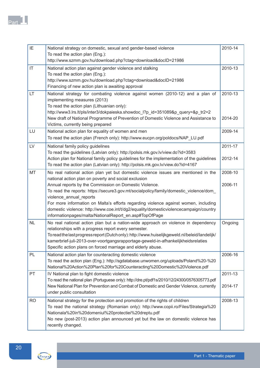| IE                     | National strategy on domestic, sexual and gender-based violence                                                                                                              | 2010-14 |
|------------------------|------------------------------------------------------------------------------------------------------------------------------------------------------------------------------|---------|
|                        | To read the action plan (Eng.):                                                                                                                                              |         |
|                        | http://www.szmm.gov.hu/download.php?ctag=download&docID=21986                                                                                                                |         |
| $\mathsf{I}\mathsf{T}$ | National action plan against gender violence and stalking                                                                                                                    | 2010-13 |
|                        | To read the action plan (Eng.):                                                                                                                                              |         |
|                        | http://www.szmm.gov.hu/download.php?ctag=download&docID=21986                                                                                                                |         |
|                        | Financing of new action plan is awaiting approval                                                                                                                            |         |
| LT                     | National strategy for combating violence against women (2010-12) and a plan of<br>implementing measures (2013)                                                               | 2010-13 |
|                        | To read the action plan (Lithuanian only):                                                                                                                                   |         |
|                        | http://www3.lrs.lt/pls/inter3/dokpaieska.showdoc_l?p_id=351089&p_query=&p_tr2=2                                                                                              |         |
|                        | New draft of National Programme of Prevention of Domestic Violence and Assistance to<br>Victims, currently being prepared                                                    | 2014-20 |
| LU                     | National action plan for equality of women and men                                                                                                                           | 2009-14 |
|                        | To read the action plan (French only): http://www.eucpn.org/poldocs/NAP_LU.pdf                                                                                               |         |
| LV                     | National family policy guidelines                                                                                                                                            | 2011-17 |
|                        | To read the guidelines (Latvian only): http://polsis.mk.gov.lv/view.do?id=3583                                                                                               |         |
|                        | Action plan for National family policy guidelines for the implementation of the guidelines                                                                                   | 2012-14 |
|                        | To read the action plan (Latvian only): http://polsis.mk.gov.lv/view.do?id=4167                                                                                              |         |
| MT                     | No real national action plan yet but domestic violence issues are mentioned in the                                                                                           | 2008-10 |
|                        | national action plan on poverty and social exclusion                                                                                                                         |         |
|                        | Annual reports by the Commission on Domestic Violence.                                                                                                                       | 2006-11 |
|                        | To read the reports: https://secure3.gov.mt/socialpolicy/family/domestic_violence/dom_                                                                                       |         |
|                        | violence_annual_reports                                                                                                                                                      |         |
|                        | For more information on Malta's efforts regarding violence against women, including<br>domestic violence: http://www.coe.int/t/dg2/equality/domesticviolencecampaign/country |         |
|                        | informationpages/malta/NationalReport_en.asp#TopOfPage                                                                                                                       |         |
| <b>NL</b>              | No real national action plan but a nation-wide approach on violence in dependency                                                                                            | Ongoing |
|                        | relationships with a progress report every semester.                                                                                                                         |         |
|                        | To read the last progress report (Dutch only): http://www.huiselijkgeweld.nl/beleid/landelijk/                                                                               |         |
|                        | kamerbrief-juli-2013-over-voortgangsrapportage-geweld-in-afhankelijkheidsrelaties                                                                                            |         |
|                        | Specific action plans on forced marriage and elderly abuse.                                                                                                                  |         |
| PL                     | National action plan for counteracting domestic violence                                                                                                                     | 2006-16 |
|                        | To read the action plan (Eng.): http://sgdatabase.unwomen.org/uploads/Poland%20-%20                                                                                          |         |
|                        | National%20Action%20Plan%20for%20Counteracting%20Domestic%20Violence.pdf                                                                                                     |         |
| PT                     | IV National plan to fight domestic violence                                                                                                                                  | 2011-13 |
|                        | To read the national plan (Portuguese only): http://dre.pt/pdf1s/2010/12/24300/0576305773.pdf                                                                                |         |
|                        | New National Plan for Prevention and Combat of Domestic and Gender Violence, currently                                                                                       | 2014-17 |
|                        | under public consultation                                                                                                                                                    |         |
| <b>RO</b>              | National strategy for the protection and promotion of the rights of children                                                                                                 | 2008-13 |
|                        | To read the national strategy (Romanian only): http://www.copii.ro/Files/Strategia%20                                                                                        |         |
|                        | Nationala%20in%20domeniul%20protectiei%20dreptu.pdf                                                                                                                          |         |
|                        | No new (post-2013) action plan announced yet but the law on domestic violence has                                                                                            |         |
|                        | recently changed.                                                                                                                                                            |         |

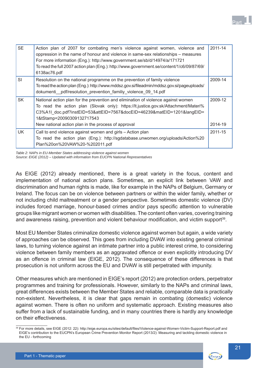| <b>SE</b> | Action plan of 2007 for combating men's violence against women, violence and<br>oppression in the name of honour and violence in same-sex relationships – measures<br>For more information (Eng.): http://www.government.se/sb/d/14974/a/171721<br>To read the full 2007 action plan (Eng.): http://www.government.se/content/1/c6/09/87/69/<br>6138ac76.pdf | 2011-14            |
|-----------|--------------------------------------------------------------------------------------------------------------------------------------------------------------------------------------------------------------------------------------------------------------------------------------------------------------------------------------------------------------|--------------------|
| SI        | Resolution on the national programme on the prevention of family violence<br>To read the action plan (Eng.): http://www.mddsz.gov.si/fileadmin/mddsz.gov.si/pageuploads/<br>dokumenti_pdf/resolution_prevention_familiy_violence_09_14.pdf                                                                                                                   | 2009-14            |
| <b>SK</b> | National action plan for the prevention and elimination of violence against women<br>To read the action plan (Slovak only): https://lt.justice.gov.sk/Attachment/Materi%<br>C3%A1I doc.pdf?instEID=53&attEID=7567&docEID=46239&matEID=1201&langEID=<br>1&tStamp=20090309132717543<br>New national action plan in the process of approval                     | 2009-12<br>2014-19 |
| UK.       | Call to end violence against women and girls - Action plan<br>To read the action plan (Eng.): http://sgdatabase.unwomen.org/uploads/Action%20<br>Plan%20on%20VAW%20-%202011.pdf                                                                                                                                                                              | 2011-15            |

*Table 2: NAPs in EU-Member States addressing violence against women*

*Source: EIGE (2012) – Updated with information from EUCPN National Representatives*

As EIGE (2012) already mentioned, there is a great variety in the focus, content and implementation of national action plans. Sometimes, an explicit link between VAW and discrimination and human rights is made, like for example in the NAPs of Belgium, Germany or Ireland. The focus can be on violence between partners or within the wider family, whether or not including child maltreatment or a gender perspective. Sometimes domestic violence (DV) includes forced marriage, honour-based crimes and/or pays specific attention to vulnerable groups like migrant women or women with disabilities. The content often varies, covering training and awareness raising, prevention and violent behaviour modification, and victim support<sup>39</sup>.

Most EU Member States criminalize domestic violence against women but again, a wide variety of approaches can be observed. This goes from including DVAW into existing general criminal laws, to turning violence against an intimate partner into a public interest crime, to considering violence between family members as an aggravated offence or even explicitly introducing DV as an offence in criminal law (EIGE, 2012). The consequence of these differences is that prosecution is not uniform across the EU and DVAW is still perpetrated with impunity.

Other measures which are mentioned in EIGE's report (2012) are protection orders, perpetrator programmes and training for professionals. However, similarly to the NAPs and criminal laws, great differences exists between the Member States and reliable, comparable data is practically non-existent. Nevertheless, it is clear that gaps remain in combating (domestic) violence against women. There is often no uniform and systematic approach. Existing measures also suffer from a lack of sustainable funding, and in many countries there is hardly any knowledge on their effectiveness.

Part 1

<sup>39</sup> For more details, see EIGE (2012: 22): http://eige.europa.eu/sites/default/files/Violence-against-Women-Victim-Support-Report.pdf and EIGE's contribution to the EUCPN's European Crime Prevention Monitor Report (2013/2): Measuring and tackling domestic violence in the EU - forthcoming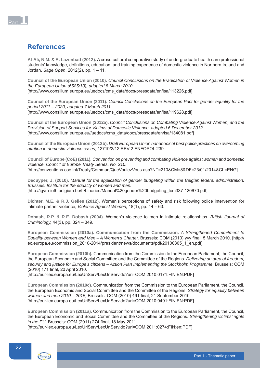

# References

**Al-Ali, N.M. & A. Lazenbatt (2012).** A cross-cultural comparative study of undergraduate health care professional students' knowledge, definitions, education, and training experience of domestic violence in Northern Ireland and Jordan. *Sage Open*, 2012(2), pp. 1 – 11.

**Council of the European Union (2010).** *Council Conclusions on the Eradication of Violence Against Women in the European Union (6585/10), adopted 8 March 2010.* [http://www.consilium.europa.eu/uedocs/cms\_data/docs/pressdata/en/lsa/113226.pdf]

**Council of the European Union (2011).** *Council Conclusions on the European Pact for gender equality for the period 2011 – 2020, adopted 7 March 2011.* [http://www.consilium.europa.eu/uedocs/cms\_data/docs/pressdata/en/lsa/119628.pdf]

**Council of the European Union (2012a).** *Council Conclusions on Combating Violence Against Women, and the Provision of Support Services for Victims of Domestic Violence, adopted 6 December 2012.* [http://www.consilium.europa.eu//uedocs/cms\_data/docs/pressdata/en/lsa/134081.pdf]

**Council of the European Union (2012b).** *Draft European Union handbook of best police practices on overcoming attrition in domestic violence cases,* 12719/2/12 REV 2 ENFOPOL 239.

**Council of Europe (CoE) (2011).** *Convention on preventing and combating violence against women and domestic violence. Council of Europe Treaty Series, No. 210.* [http://conventions.coe.int/Treaty/Commun/QueVoulezVous.asp?NT=210&CM=8&DF=23/01/2014&CL=ENG]

**Decuyper, J. (2010).** *Manual for the application of gender budgeting within the Belgian federal administration. Brussels: Institute for the equality of women and men.* [http://igvm-iefh.belgium.be/fr/binaries/Manual%20gender%20budgeting\_tcm337-120670.pdf]

**Dichter, M.E. & R.J. Gelles (2012).** Women's perceptions of safety and risk following police intervention for intimate partner violence, *Violence Against Women,* 18(1), pp. 44 – 63.

**Dobash, R.P. & R.E. Dobash (2004).** Women's violence to men in intimate relationships. *British Journal of Criminology,* 44(3), pp. 324 – 349.

**European Commission (2010a). Communication from the Commission.** *A Strengthened Commitment to Equality between Women and Men - A Women's Charter, Brussels: COM (2010) yyy final, 5 March 2010. [http://* ec.europa.eu/commission\_2010-2014/president/news/documents/pdf/20100305\_1\_en.pdf]

**European Commission (2010b).** Communication from the Commission to the European Parliament, the Council, the European Economic and Social Committee and the Committee of the Regions. *Delivering an area of freedom, security and justice for Europe's citizens – Action Plan Implementing the Stockholm Programme,* Brussels: COM (2010) 171 final, 20 April 2010.

[http://eur-lex.europa.eu/LexUriServ/LexUriServ.do?uri=COM:2010:0171:FIN:EN:PDF]

**European Commission (2010c).** Communication from the Commission to the European Parliament, the Council, the European Economic and Social Committee and the Committee of the Regions. *Strategy for equality between women and men 2010 – 2015*, Brussels: COM (2010) 491 final, 21 September 2010. [http://eur-lex.europa.eu/LexUriServ/LexUriServ.do?uri=COM:2010:0491:FIN:EN:PDF]

**European Commission (2011a).** Communication from the Commission to the European Parliament, the Council, the European Economic and Social Committee and the Committee of the Regions. *Strengthening victims' rights in the EU*, Brussels: COM (2011) 274 final, 18 May 2011.

[http://eur-lex.europa.eu/LexUriServ/LexUriServ.do?uri=COM:2011:0274:FIN:en:PDF]

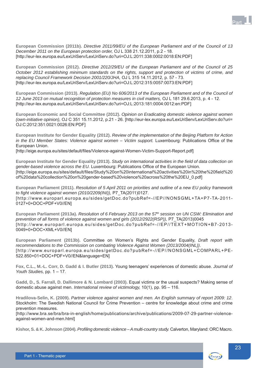

**European Commission (2011b).** *Directive 2011/99/EU of the European Parliament and of the Council of 13 December 2011 on the European protection order,* OJ L 338 21.12.2011, p.2 - 18. [http://eur-lex.europa.eu/LexUriServ/LexUriServ.do?uri=OJ:L:2011:338:0002:0018:EN:PDF]

**European Commission (2012).** *Directive 2012/29/EU of the European Parliament and of the Council of 25 October 2012 establishing minimum standards on the rights, support and protection of victims of crime, and replacing Council Framework Decision 2001/220/JHA,* OJ L 315 14.11.2012, p. 57 - 73. [http://eur-lex.europa.eu/LexUriServ/LexUriServ.do?uri=OJ:L:2012:315:0057:0073:EN:PDF]

**European Commission (2013).** *Regulation (EU) No 606/2013 of the European Parliament and of the Council of 12 June 2013 on mutual recognition of protection measures in civil matters,* OJ L 181 29.6.2013, p. 4 - 12. [http://eur-lex.europa.eu/LexUriServ/LexUriServ.do?uri=OJ:L:2013:181:0004:0012:en:PDF]

**European Economic and Social Committee (2012).** *Opinion on Eradicating domestic violence against women (own-initiative opinion),* OJ C 351 15.11.2012, p.21 - 26. [http://eur-lex.europa.eu/LexUriServ/LexUriServ.do?uri= OJ:C:2012:351:0021:0026:EN:PDF]

**European Institute for Gender Equality (2012).** *Review of the implementation of the Beijing Platform for Action in the EU Member States: Violence against women – Victim support.* Luxembourg: Publications Office of the European Union.

[http://eige.europa.eu/sites/default/files/Violence-against-Women-Victim-Support-Report.pdf]

**European Institute for Gender Equality (2013).** *Study on international activities in the fi eld of data collection on gender-based violence across the EU.* Luxembourg: Publications Office of the European Union. [http://eige.europa.eu/sites/default/files/Study%20on%20international%20activities%20in%20the%20field%20 of%20data%20collection%20on%20gender-based%20violence%20across%20the%20EU\_0.pdf]

**European Parliament (2011).** *Resolution of 5 April 2011 on priorities and outline of a new EU policy framework to fi ght violence against women (2010/2209(INI)),* P7\_TA(2011)0127. [http://www.europarl.europa.eu/sides/getDoc.do?pubRef=-//EP//NONSGML+TA+P7-TA-2011- 0127+0+DOC+PDF+V0//EN]

**European Parliament (2013a).** *Resolution of 6 February 2013 on the 57th session on UN CSW: Elimination and prevention of all forms of violence against women and girls (2012/2922(RSP)),* P7\_TA(2013)0045 [http://www.europarl.europa.eu/sides/getDoc.do?pubRef=-//EP//TEXT+MOTION+B7-2013- 0049+0+DOC+XML+V0//EN]

**European Parliament (2013b).** Committee on Women's Rights and Gender Equality, *Draft report with recommendations to the Commission on combating Violence Against Women (2013/2004(INL))*. [http://www.europarl.europa.eu/sides/getDoc.do?pubRef=-//EP//NONSGML+COMPARL+PE-522.850+01+DOC+PDF+V0//EN&language=EN]

**Fox, C.L., M.-L. Corr, D. Gadd & I. Butler (2013).** Young teenagers' experiences of domestic abuse. *Journal of Youth Studies,* pp. 1 – 17.

**Gadd, D., S. Farrall, D. Dallimore & N. Lombard (2003).** Equal victims or the usual suspects? Making sense of domestic abuse against men. *International review of victimology,* 10(1), pp. 95 – 116.

**Hradilova-Selin, K. (2009).** *Partner violence against women and men. An English summary of report 2009: 12*. Stockholm: The Swedish National Council for Crime Prevention – centre for knowledge about crime and crime prevention measures.

[http://www.bra.se/bra/bra-in-english/home/publications/archive/publications/2009-07-29-partner-violenceagainst-women-and-men.html]

Kishor, S. & K. Johnson (2004). *Profiling domestic violence - A multi-country study*. Calverton, Maryland: ORC Macro.

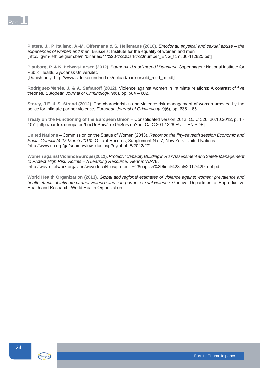

**Pieters, J., P. Italiano, A.-M. Offermans & S. Hellemans (2010).** *Emotional, physical and sexual abuse – the experiences of women and men.* Brussels: Institute for the equality of women and men. [http://igvm-iefh.belgium.be/nl/binaries/41%20-%20Dark%20number\_ENG\_tcm336-112825.pdf]

**Plauborg, R. & K. Helweg-Larsen (2012).** *Partnervold mod mænd i Danmark.* Copenhagen: National Institute for Public Health, Syddansk Universitet.

[Danish only: http://www.si-folkesundhed.dk/upload/partnervold\_mod\_m.pdf]

Rodríguez-Menés, J. & A. Safranoff (2012). Violence against women in intimiate relations: A contrast of five theories, *European Journal of Criminology,* 9(6), pp. 584 – 602.

**Storey, J.E. & S. Strand (2012).** The characteristics and violence risk management of women arrested by the police for intimate partner violence, *European Journal of Criminology,* 9(6), pp. 636 – 651.

**Treaty on the Functioning of the European Union** – Consolidated version 2012, OJ C 326, 26.10.2012, p. 1 - 407. [http://eur-lex.europa.eu/LexUriServ/LexUriServ.do?uri=OJ:C:2012:326:FULL:EN:PDF]

United Nations – Commission on the Status of Women (2013). *Report on the fifty-seventh session Economic and* Social Council (4-15 March 2013), Official Records, Supplement No. 7, New York: United Nations. [http://www.un.org/ga/search/view\_doc.asp?symbol=E/2013/27]

**Women against Violence Europe (2012).** *Protect II Capacity Building in Risk Assessment and Safety Management to Protect High Risk Victims – A Learning Resource, Vienna:* WAVE. [http://wave-network.org/sites/wave.local/files/protectii%28english%29final%28july2012%29\_opt.pdf]

**World Health Organization (2013).** *Global and regional estimates of violence against women: prevalence and health effects of intimate partner violence and non-partner sexual violence.* Geneva: Department of Reproductive Health and Research, World Health Organization.

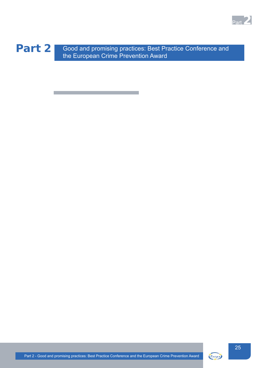



Part 2 Good and promising practices: Best Practice Conference and the European Crime Prevention Award

<u> 1989 - Johann Barnett, mars et al. 1989 - Johann Barnett, mars et al. 1989 - Johann Barnett, mars et al. 19</u>



Eucpn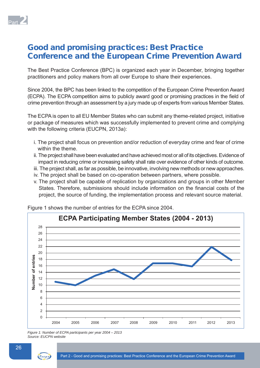

# Good and promising practices: Best Practice Conference and the European Crime Prevention Award

The Best Practice Conference (BPC) is organized each year in December, bringing together practitioners and policy makers from all over Europe to share their experiences.

Since 2004, the BPC has been linked to the competition of the European Crime Prevention Award (ECPA). The ECPA competition aims to publicly award good or promising practices in the field of crime prevention through an assessment by a jury made up of experts from various Member States.

The ECPA is open to all EU Member States who can submit any theme-related project, initiative or package of measures which was successfully implemented to prevent crime and complying with the following criteria (EUCPN, 2013a):

- i. The project shall focus on prevention and/or reduction of everyday crime and fear of crime within the theme.
- ii. The project shall have been evaluated and have achieved most or all of its objectives. Evidence of impact in reducing crime or increasing safety shall rate over evidence of other kinds of outcome.
- iii. The project shall, as far as possible, be innovative, involving new methods or new approaches.
- iv. The project shall be based on co-operation between partners, where possible.
- v. The project shall be capable of replication by organizations and groups in other Member States. Therefore, submissions should include information on the financial costs of the project, the source of funding, the implementation process and relevant source material.



Figure 1 shows the number of entries for the ECPA since 2004.

*Figure 1: Number of ECPA participants per year 2004 – 2013 Source: EUCPN website*

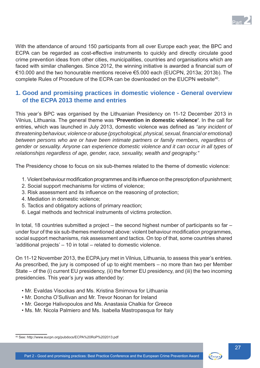

With the attendance of around 150 participants from all over Europe each year, the BPC and ECPA can be regarded as cost-effective instruments to quickly and directly circulate good crime prevention ideas from other cities, municipalities, countries and organisations which are faced with similar challenges. Since 2012, the winning initiative is awarded a financial sum of €10.000 and the two honourable mentions receive €5.000 each (EUCPN, 2013a; 2013b). The complete Rules of Procedure of the ECPA can be downloaded on the EUCPN website<sup>40</sup>.

# **1. Good and promising practices in domestic violence - General overview of the ECPA 2013 theme and entries**

This year's BPC was organised by the Lithuanian Presidency on 11-12 December 2013 in Vilnius, Lithuania. The general theme was **'Prevention in domestic violence'**. In the call for entries, which was launched in July 2013, domestic violence was defined as "any incident of *threatening behaviour, violence or abuse (psychological, physical, sexual, financial or emotional) between persons who are or have been intimate partners or family members, regardless of gender or sexuality. Anyone can experience domestic violence and it can occur in all types of relationships regardless of age, gender, race, sexuality, wealth and geography."*

The Presidency chose to focus on six sub-themes related to the theme of domestic violence:

- 1. Violent behaviour modification programmes and its influence on the prescription of punishment;
- 2. Social support mechanisms for victims of violence;
- 3. Risk assessment and its influence on the reasoning of protection;
- 4. Mediation in domestic violence;
- 5. Tactics and obligatory actions of primary reaction;
- 6. Legal methods and technical instruments of victims protection.

In total, 18 countries submitted a project – the second highest number of participants so far – under four of the six sub-themes mentioned above: violent behaviour modification programmes, social support mechanisms, risk assessment and tactics. On top of that, some countries shared 'additional projects' – 10 in total – related to domestic violence.

On 11-12 November 2013, the ECPA jury met in Vilnius, Lithuania, to assess this year's entries. As prescribed, the jury is composed of up to eight members – no more than two per Member State – of the (i) current EU presidency, (ii) the former EU presidency, and (iii) the two incoming presidencies. This year's jury was attended by:

- Mr. Evaldas Visockas and Ms. Kristina Smirnova for Lithuania
- Mr. Doncha O'Sullivan and Mr. Trevor Noonan for Ireland
- Mr. George Halivopoulos and Ms. Anastasia Chalkia for Greece
- Ms. Mr. Nicola Palmiero and Ms. Isabella Mastropasqua for Italy

<sup>40</sup> See: http://www.eucpn.org/pubdocs/ECPA%20RoP%202013.pdf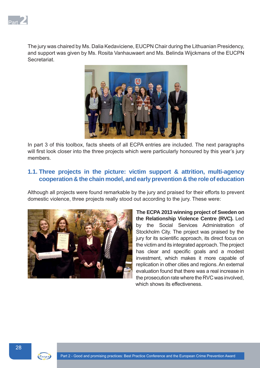

The jury was chaired by Ms. Dalia Kedaviciene, EUCPN Chair during the Lithuanian Presidency, and support was given by Ms. Rosita Vanhauwaert and Ms. Belinda Wijckmans of the EUCPN **Secretariat** 



In part 3 of this toolbox, facts sheets of all ECPA entries are included. The next paragraphs will first look closer into the three projects which were particularly honoured by this year's jury members.

# **1.1. Three projects in the picture: victim support & attrition, multi-agency cooperation & the chain model, and early prevention & the role of education**

Although all projects were found remarkable by the jury and praised for their efforts to prevent domestic violence, three projects really stood out according to the jury. These were:



 **The ECPA 2013 winning project of Sweden on the Relationship Violence Centre (RVC).** Led by the Social Services Administration of Stockholm City. The project was praised by the jury for its scientific approach, its direct focus on the victim and its integrated approach. The project has clear and specific goals and a modest investment, which makes it more capable of replication in other cities and regions. An external evaluation found that there was a real increase in the prosecution rate where the RVC was involved, which shows its effectiveness.

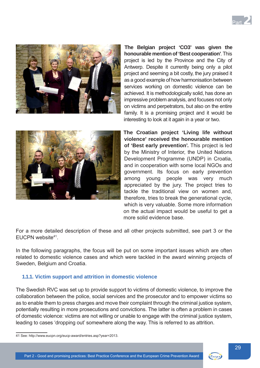



**The Belgian project 'CO3' was given the honourable mention of 'Best cooperation'**. This project is led by the Province and the City of Antwerp. Despite it currently being only a pilot project and seeming a bit costly, the jury praised it as a good example of how harmonisation between services working on domestic violence can be achieved. It is methodologically solid, has done an impressive problem analysis, and focuses not only on victims and perpetrators, but also on the entire family. It is a promising project and it would be interesting to look at it again in a year or two.



 **The Croatian project 'Living life without violence' received the honourable mention of 'Best early prevention'.** This project is led by the Ministry of Interior, the United Nations Development Programme (UNDP) in Croatia, and in cooperation with some local NGOs and government. Its focus on early prevention among young people was very much appreciated by the jury. The project tries to tackle the traditional view on women and, therefore, tries to break the generational cycle, which is very valuable. Some more information on the actual impact would be useful to get a more solid evidence base.

For a more detailed description of these and all other projects submitted, see part 3 or the EUCPN website41.

In the following paragraphs, the focus will be put on some important issues which are often related to domestic violence cases and which were tackled in the award winning projects of Sweden, Belgium and Croatia.

# **1.1.1. Victim support and attrition in domestic violence**

The Swedish RVC was set up to provide support to victims of domestic violence, to improve the collaboration between the police, social services and the prosecutor and to empower victims so as to enable them to press charges and move their complaint through the criminal justice system, potentially resulting in more prosecutions and convictions. The latter is often a problem in cases of domestic violence: victims are not willing or unable to engage with the criminal justice system, leading to cases 'dropping out' somewhere along the way. This is referred to as attrition.

<sup>41</sup> See: http://www.eucpn.org/eucp-award/entries.asp?year=2013.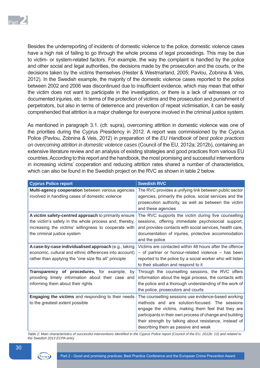

Besides the underreporting of incidents of domestic violence to the police, domestic violence cases have a high risk of failing to go through the whole process of legal proceedings. This may be due to victim- or system-related factors. For example, the way the complaint is handled by the police and other social and legal authorities, the decisions made by the prosecution and the courts, or the decisions taken by the victims themselves (Hester & Westmarland, 2005; Pavlou, Zobnina & Veis, 2012). In the Swedish example, the majority of the domestic violence cases reported to the police between 2002 and 2006 was discontinued due to insufficient evidence, which may mean that either the victim does not want to participate in the investigation, or there is a lack of witnesses or no documented injuries, etc. In terms of the protection of victims and the prosecution and punishment of perpetrators, but also in terms of deterrence and prevention of repeat victimisation, it can be easily comprehended that attrition is a major challenge for everyone involved in the criminal justice system.

As mentioned in paragraph 3.1. (cfr. supra), overcoming attrition in domestic violence was one of the priorities during the Cyprus Presidency in 2012. A report was commissioned by the Cyprus Police (Pavlou, Zobnina & Veis, 2012) in preparation of the *EU Handbook of best police practices on overcoming attrition in domestic violence cases* (Council of the EU, 2012a; 2012b), containing an extensive literature review and an analysis of existing strategies and good practices from various EU countries. According to this report and the handbook, the most promising and successful interventions in increasing victims' cooperation and reducing attrition rates shared a number of characteristics, which can also be found in the Swedish project on the RVC as shown in table 2 below.

| <b>Cyprus Police report</b>                                                                                                                                                                            | <b>Swedish RVC</b>                                                                                                                                                                                                                                                                                                       |
|--------------------------------------------------------------------------------------------------------------------------------------------------------------------------------------------------------|--------------------------------------------------------------------------------------------------------------------------------------------------------------------------------------------------------------------------------------------------------------------------------------------------------------------------|
| Multi-agency cooperation between various agencies<br>involved in handling cases of domestic violence                                                                                                   | The RVC provides a unifying link between public sector<br>agencies, primarily the police, social services and the<br>prosecution authority, as well as between the victim<br>and these agencies                                                                                                                          |
| A victim safety-centred approach to primarily ensure<br>the victim's safety in the whole process and, thereby,<br>increasing the victims' willingness to cooperate with<br>the criminal justice system | The RVC supports the victim during five counselling<br>sessions, offering immediate psychosocial support,<br>and provides contacts with social services, health care,<br>documentation of injuries, protective accommodation<br>and the police                                                                           |
| A case-by-case individualised approach (e.g., taking<br>economic, cultural and ethnic differences into account)<br>rather than applying the "one size fits all" principle                              | Victims are contacted within 48 hours after the offence<br>- of partner or honour-related violence - has been<br>reported to the police by a social worker who will listen<br>to their situation and respond to it                                                                                                       |
| Transparency of procedures, for example,<br>by<br>providing timely information about their case and<br>informing them about their rights                                                               | Through the counselling sessions, the RVC offers<br>information about the legal process, the contacts with<br>the police and a thorough understanding of the work of<br>the police, prosecutors and courts                                                                                                               |
| Engaging the victims and responding to their needs<br>to the greatest extent possible                                                                                                                  | The counselling sessions use evidence-based working<br>methods and are solution-focused. The sessions<br>engage the victims, making them feel that they are<br>participants in their own process of change and building<br>their strength by talking about resistance, instead of<br>describing them as passive and weak |

*Table 2: Main characteristics of successful interventions identifi ed in the Cyprus Police report (Council of the EU, 2012b: 13) and related to the Swedish 2013 ECPA entry*

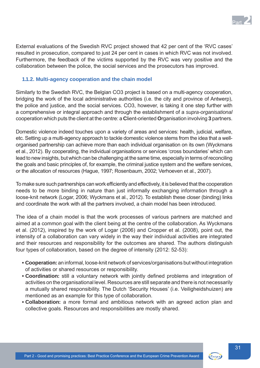

External evaluations of the Swedish RVC project showed that 42 per cent of the 'RVC cases' resulted in prosecution, compared to just 24 per cent in cases in which RVC was not involved. Furthermore, the feedback of the victims supported by the RVC was very positive and the collaboration between the police, the social services and the prosecutors has improved.

# **1.1.2. Multi-agency cooperation and the chain model**

Similarly to the Swedish RVC, the Belgian CO3 project is based on a multi-agency cooperation, bridging the work of the local administrative authorities (i.e. the city and province of Antwerp), the police and justice, and the social services. CO3, however, is taking it one step further with a comprehensive or integral approach and through the establishment of a *supra-organisational* cooperation which puts the client at the centre: a **C**lient-oriented **O**rganisation involving **3** partners.

Domestic violence indeed touches upon a variety of areas and services: health, judicial, welfare, etc. Setting up a multi-agency approach to tackle domestic violence stems from the idea that a wellorganised partnership can achieve more than each individual organisation on its own (Wyckmans et al., 2012). By cooperating, the individual organisations or services 'cross boundaries' which can lead to new insights, but which can be challenging at the same time, especially in terms of reconciling the goals and basic principles of, for example, the criminal justice system and the welfare services, or the allocation of resources (Hague, 1997; Rosenbaum, 2002; Verhoeven et al., 2007).

To make sure such partnerships can work efficiently and effectively, it is believed that the cooperation needs to be more binding in nature than just informally exchanging information through a loose-knit network (Logar, 2006; Wyckmans et al., 2012). To establish these closer (binding) links and coordinate the work with all the partners involved, a chain model has been introduced.

The idea of a chain model is that the work processes of various partners are matched and aimed at a common goal with the client being at the centre of the collaboration. As Wyckmans et al. (2012), inspired by the work of Logar (2006) and Cropper et al. (2008), point out, the intensity of a collaboration can vary widely in the way their individual activities are integrated and their resources and responsibility for the outcomes are shared. The authors distinguish four types of collaboration, based on the degree of intensity (2012: 52-53):

- **Cooperation:** an informal, loose-knit network of services/organisations but without integration of activities or shared resources or responsibility.
- Coordination: still a voluntary network with jointly defined problems and integration of activities on the organisational level. Resources are still separate and there is not necessarily a mutually shared responsibility. The Dutch 'Security Houses' (i.e. Veiligheidshuizen) are mentioned as an example for this type of collaboration.
- **Collaboration:** a more formal and ambitious network with an agreed action plan and collective goals. Resources and responsibilities are mostly shared.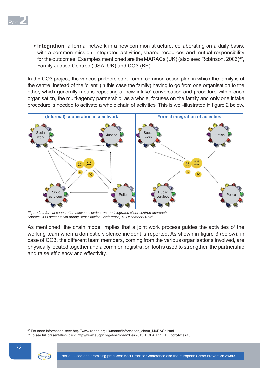

**• Integration:** a formal network in a new common structure, collaborating on a daily basis, with a common mission, integrated activities, shared resources and mutual responsibility for the outcomes. Examples mentioned are the MARACs (UK) (also see: Robinson, 2006)<sup>42</sup>, Family Justice Centres (USA, UK) and CO3 (BE).

In the CO3 project, the various partners start from a common action plan in which the family is at the centre. Instead of the 'client' (in this case the family) having to go from one organisation to the other, which generally means repeating a 'new intake' conversation and procedure within each organisation, the multi-agency partnership, as a whole, focuses on the family and only one intake procedure is needed to activate a whole chain of activities. This is well-illustrated in figure 2 below.



*Figure 2: Informal cooperation between services vs. an integrated client-centred approach Source: CO3 presentation during Best Practice Conference, 12 December 201343*

As mentioned, the chain model implies that a joint work process guides the activities of the working team when a domestic violence incident is reported. As shown in figure 3 (below), in case of CO3, the different team members, coming from the various organisations involved, are physically located together and a common registration tool is used to strengthen the partnership and raise efficiency and effectivity.

<sup>43</sup> To see full presentation, click: http://www.eucpn.org/download/?file=2013\_ECPA\_PPT\_BE.pdf&type=18



<sup>42</sup> For more information, see: http://www.caada.org.uk/marac/Information\_about\_MARACs.html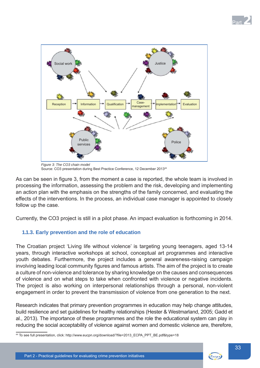



 *Figure 3: The CO3 chain model* Source: CO3 presentation during Best Practice Conference, 12 December 201344

As can be seen in figure 3, from the moment a case is reported, the whole team is involved in processing the information, assessing the problem and the risk, developing and implementing an action plan with the emphasis on the strengths of the family concerned, and evaluating the effects of the interventions. In the process, an individual case manager is appointed to closely follow up the case.

Currently, the CO3 project is still in a pilot phase. An impact evaluation is forthcoming in 2014.

# **1.1.3. Early prevention and the role of education**

The Croatian project 'Living life without violence' is targeting young teenagers, aged 13-14 years, through interactive workshops at school, conceptual art programmes and interactive youth debates. Furthermore, the project includes a general awareness-raising campaign involving leading local community figures and famous artists. The aim of the project is to create a culture of non-violence and tolerance by sharing knowledge on the causes and consequences of violence and on what steps to take when confronted with violence or negative incidents. The project is also working on interpersonal relationships through a personal, non-violent engagement in order to prevent the transmission of violence from one generation to the next.

Research indicates that primary prevention programmes in education may help change attitudes, build resilience and set guidelines for healthy relationships (Hester & Westmarland, 2005; Gadd et al., 2013). The importance of these programmes and the role the educational system can play in reducing the social acceptability of violence against women and domestic violence are, therefore,

44 To see full presentation, click: http://www.eucpn.org/download/?file=2013\_ECPA\_PPT\_BE.pdf&type=18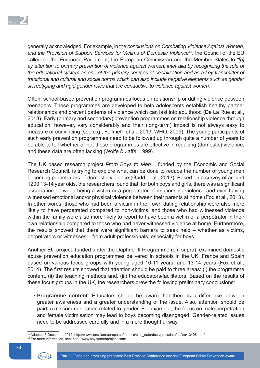

generally acknowledged. For example, in the *conclusions on Combating Violence Against Women, and the Provision of Support Services for Victims of Domestic Violence*45, the Council of the EU called on the European Parliament, the European Commission and the Member States to *"[p] ay attention to primary prevention of violence against women, inter alia by recognizing the role of the educational system as one of the primary sources of socialization and as a key transmitter of traditional and cultural and social norms which can also include negative elements such as gender stereotyping and rigid gender roles that are conductive to violence against women."*

Often, school-based prevention programmes focus on relationship or dating violence between teenagers. These programmes are developed to help adolescents establish healthy partner relationships and prevent patterns of violence which can last into adulthood (De La Rue et al., 2013). Early (primary and secondary) prevention programmes on relationship violence through education, however, vary considerably and their (long-term) impact is not always easy to measure or convincing (see e.g., Fellmeth et al., 2013; WHO, 2009). The young participants of such early prevention programmes need to be followed up through quite a number of years to be able to tell whether or not these programmes are effective in reducing (domestic) violence, and these data are often lacking (Wolfe & Jaffe, 1999).

The UK based research project *From Boys to Men*<sup>46</sup>, funded by the Economic and Social Research Council, is trying to explore what can be done to reduce the number of young men becoming perpetrators of domestic violence (Gadd et al., 2013). Based on a survey of around 1200 13-14 year olds, the researchers found that, for both boys and girls, there was a significant association between being a victim or a perpetrator of relationship violence and ever having witnessed emotional and/or physical violence between their parents at home (Fox et al., 2013). In other words, those who had been a victim in their own dating relationship were also more likely to have perpetrated compared to non-victims, and those who had witnessed violence within the family were also more likely to report to have been a victim or a perpetrator in their own relationship compared to those who had never witnessed violence at home. Furthermore, the results showed that there were significant barriers to seek help  $-$  whether as victims, perpetrators or witnesses – from adult professionals, especially for boys.

Another EU project, funded under the Daphne III Programme (cfr. supra), examined domestic abuse prevention education programmes delivered in schools in the UK, France and Spain based on various focus groups with young aged 10-11 years, and 13-14 years (Fox et al., 2014). The first results showed that attention should be paid to three areas: (i) the programme content, (ii) the teaching methods and, (iii) the educators/facilitators. Based on the results of these focus groups in the UK, the researchers drew the following preliminary conclusions:

**• Programme content:** Educators should be aware that there is a difference between greater awareness and a greater understanding of the issue. Also, attention should be paid to miscommunication related to gender. For example, the focus on male perpetration and female victimisation may lead to boys becoming disengaged. Gender-related issues need to be addressed carefully and in a more thoughtful way.

<sup>45</sup> Adopted 6 December 2012, http://www.consilium.europa.eu/uedocs/cms\_data/docs/pressdata/en/lsa/134081.pdf 46 For more information, see: http://www.boystomenproject.com/



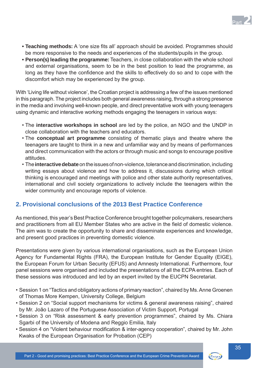

- **Teaching methods:** A 'one size fits all' approach should be avoided. Programmes should be more responsive to the needs and experiences of the students/pupils in the group.
- **Person(s) leading the programme:** Teachers, in close collaboration with the whole school and external organisations, seem to be in the best position to lead the programme, as long as they have the confidence and the skills to effectively do so and to cope with the discomfort which may be experienced by the group.

With 'Living life without violence', the Croatian project is addressing a few of the issues mentioned in this paragraph. The project includes both general awareness raising, through a strong presence in the media and involving well-known people, and direct preventative work with young teenagers using dynamic and interactive working methods engaging the teenagers in various ways:

- The **interactive workshops in school** are led by the police, an NGO and the UNDP in close collaboration with the teachers and educators.
- The **conceptual art programme** consisting of thematic plays and theatre where the teenagers are taught to think in a new and unfamiliar way and by means of performances and direct communication with the actors or through music and songs to encourage positive attitudes.
- The **interactive debate** on the issues of non-violence, tolerance and discrimination, including writing essays about violence and how to address it, discussions during which critical thinking is encouraged and meetings with police and other state authority representatives, international and civil society organizations to actively include the teenagers within the wider community and encourage reports of violence.

# **2. Provisional conclusions of the 2013 Best Practice Conference**

As mentioned, this year's Best Practice Conference brought together policymakers, researchers and practitioners from all EU Member States who are active in the field of domestic violence. The aim was to create the opportunity to share and disseminate experiences and knowledge, and present good practices in preventing domestic violence.

Presentations were given by various international organisations, such as the European Union Agency for Fundamental Rights (FRA), the European Institute for Gender Equality (EIGE), the European Forum for Urban Security (EFUS) and Amnesty International. Furthermore, four panel sessions were organised and included the presentations of all the ECPA entries. Each of these sessions was introduced and led by an expert invited by the EUCPN Secretariat.

- Session 1 on "Tactics and obligatory actions of primary reaction", chaired by Ms. Anne Groenen of Thomas More Kempen, University College, Belgium
- Session 2 on "Social support mechanisms for victims & general awareness raising", chaired by Mr. João Lazaro of the Portuguese Association of Victim Support, Portugal
- Session 3 on "Risk assessment & early prevention programmes", chaired by Ms. Chiara Sgarbi of the University of Modena and Reggio Emilia, Italy
- Session 4 on "Violent behaviour modification & inter-agency cooperation", chaired by Mr. John Kwaks of the European Organisation for Probation (CEP)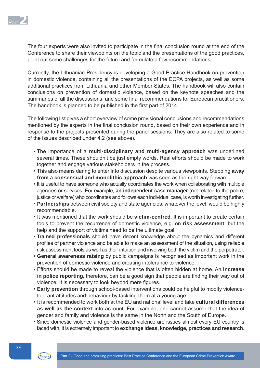

The four experts were also invited to participate in the final conclusion round at the end of the Conference to share their viewpoints on the topic and the presentations of the good practices, point out some challenges for the future and formulate a few recommendations.

Currently, the Lithuanian Presidency is developing a Good Practice Handbook on prevention in domestic violence, containing all the presentations of the ECPA projects, as well as some additional practices from Lithuania and other Member States. The handbook will also contain conclusions on prevention of domestic violence, based on the keynote speeches and the summaries of all the discussions, and some final recommendations for European practitioners. The handbook is planned to be published in the first part of 2014.

The following list gives a short overview of some provisional conclusions and recommendations mentioned by the experts in the final conclusion round, based on their own experience and in response to the projects presented during the panel sessions. They are also related to some of the issues described under 4.2 (see above).

- The importance of a **multi-disciplinary and multi-agency approach** was underlined several times. These shouldn't be just empty words. Real efforts should be made to work together and engage various stakeholders in the process.
- This also means daring to enter into discussion despite various viewpoints. Stepping **away from a consensual and monolithic approach** was seen as the right way forward.
- It is useful to have someone who actually coordinates the work when collaborating with multiple agencies or services. For example, **an independent case manager** (not related to the police, justice or welfare) who coordinates and follows each individual case, is worth investigating further.
- **Partnerships** between civil society and state agencies, whatever the level, would be highly recommendable.
- It was mentioned that the work should be **victim-centred**. It is important to create certain tools to prevent the recurrence of domestic violence, e.g. on **risk assessment**, but the help and the support of victims need to be the ultimate goal.
- **Trained professionals** should have decent knowledge about the dynamics and different profiles of partner violence and be able to make an assessment of the situation, using reliable risk assessment tools as well as their intuition and involving both the victim and the perpetrator.
- **General awareness raising** by public campaigns is recognised as important work in the prevention of domestic violence and creating intolerance to violence.
- Efforts should be made to reveal the violence that is often hidden at home. An **increase**  in police reporting, therefore, can be a good sign that people are finding their way out of violence. It is necessary to look beyond mere figures.
- **Early prevention** through school-based interventions could be helpful to modify violencetolerant attitudes and behaviour by tackling them at a young age.
- It is recommended to work both at the EU and national level and take **cultural differences as well as the context** into account. For example, one cannot assume that the idea of gender and family and violence is the same in the North and the South of Europe.
- Since domestic violence and gender-based violence are issues almost every EU country is faced with, it is extremely important to **exchange ideas, knowledge, practices and research**.

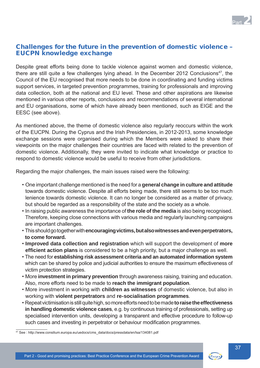

# Challenges for the future in the prevention of domestic violence – EUCPN knowledge exchange

Despite great efforts being done to tackle violence against women and domestic violence, there are still quite a few challenges lying ahead. In the December 2012 Conclusions<sup>47</sup>, the Council of the EU recognised that more needs to be done in coordinating and funding victims support services, in targeted prevention programmes, training for professionals and improving data collection, both at the national and EU level. These and other aspirations are likewise mentioned in various other reports, conclusions and recommendations of several international and EU organisations, some of which have already been mentioned, such as EIGE and the EESC (see above).

As mentioned above, the theme of domestic violence also regularly reoccurs within the work of the EUCPN. During the Cyprus and the Irish Presidencies, in 2012-2013, some knowledge exchange sessions were organised during which the Members were asked to share their viewpoints on the major challenges their countries are faced with related to the prevention of domestic violence. Additionally, they were invited to indicate what knowledge or practice to respond to domestic violence would be useful to receive from other jurisdictions.

Regarding the major challenges, the main issues raised were the following:

- One important challenge mentioned is the need for a **general change in culture and attitude** towards domestic violence. Despite all efforts being made, there still seems to be too much lenience towards domestic violence. It can no longer be considered as a matter of privacy, but should be regarded as a responsibility of the state and the society as a whole.
- In raising public awareness the importance of **the role of the media** is also being recognised. Therefore, keeping close connections with various media and regularly launching campaigns are important challenges.
- This should go together with **encouraging victims, but also witnesses and even perpetrators, to come forward.**
- **Improved data collection and registration** which will support the development of **more efficient action plans** is considered to be a high priority, but a major challenge as well.
- The need for **establishing risk assessment criteria and an automated information system** which can be shared by police and judicial authorities to ensure the maximum effectiveness of victim protection strategies.
- More **investment in primary prevention** through awareness raising, training and education. Also, more efforts need to be made to **reach the immigrant population**.
- More investment in working with **children as witnesses** of domestic violence, but also in working with **violent perpetrators** and **re-socialisation programmes**.
- Repeat victimisation is still quite high, so more efforts need to be made **to raise the effectiveness in handling domestic violence cases**, e.g. by continuous training of professionals, setting up specialised intervention units, developing a transparent and effective procedure to follow-up such cases and investing in perpetrator or behaviour modification programmes.



<sup>47</sup> See : http://www.consilium.europa.eu/uedocs/cms\_data/docs/pressdata/en/lsa/134081.pdf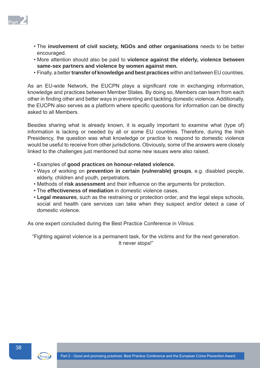

- The **involvement of civil society, NGOs and other organisations** needs to be better encouraged.
- More attention should also be paid to **violence against the elderly, violence between same-sex partners and violence by women against men.**
- Finally, a better **transfer of knowledge and best practices** within and between EU countries.

As an EU-wide Network, the EUCPN plays a significant role in exchanging information, knowledge and practices between Member States. By doing so, Members can learn from each other in finding other and better ways in preventing and tackling domestic violence. Additionally, the EUCPN also serves as a platform where specific questions for information can be directly asked to all Members.

Besides sharing what is already known, it is equally important to examine what (type of) information is lacking or needed by all or some EU countries. Therefore, during the Irish Presidency, the question was what knowledge or practice to respond to domestic violence would be useful to receive from other jurisdictions. Obviously, some of the answers were closely linked to the challenges just mentioned but some new issues were also raised.

- Examples of **good practices on honour-related violence.**
- Ways of working on **prevention in certain (vulnerable) groups**, e.g. disabled people, elderly, children and youth, perpetrators.
- Methods of risk assessment and their influence on the arguments for protection.
- The **effectiveness of mediation** in domestic violence cases.
- **Legal measures**, such as the restraining or protection order, and the legal steps schools, social and health care services can take when they suspect and/or detect a case of domestic violence.

As one expert concluded during the Best Practice Conference in Vilnius:

"Fighting against violence is a permanent task, for the victims and for the next generation. It never stops!"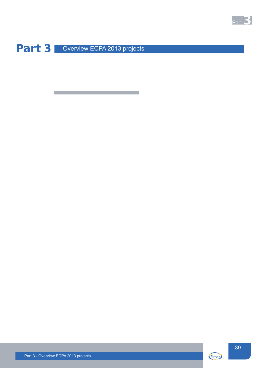

Part 3 Overview ECPA 2013 projects

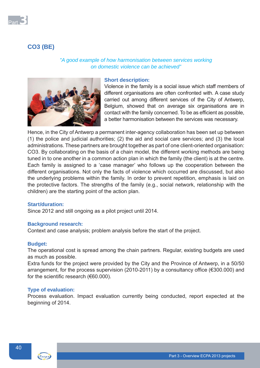

# **CO3 (BE)**

# *"A good example of how harmonisation between services working on domestic violence can be achieved"*



# **Short description:**

Violence in the family is a social issue which staff members of different organisations are often confronted with. A case study carried out among different services of the City of Antwerp, Belgium, showed that on average six organisations are in contact with the family concerned. To be as efficient as possible, a better harmonisation between the services was necessary.

Hence, in the City of Antwerp a permanent inter-agency collaboration has been set up between (1) the police and judicial authorities; (2) the aid and social care services; and (3) the local administrations. These partners are brought together as part of one client-oriented organisation: CO3. By collaborating on the basis of a chain model, the different working methods are being tuned in to one another in a common action plan in which the family (the client) is at the centre. Each family is assigned to a 'case manager' who follows up the cooperation between the different organisations. Not only the facts of violence which occurred are discussed, but also the underlying problems within the family. In order to prevent repetition, emphasis is laid on the protective factors. The strengths of the family (e.g., social network, relationship with the children) are the starting point of the action plan.

# **Start/duration:**

Since 2012 and still ongoing as a pilot project until 2014.

## **Background research:**

Context and case analysis; problem analysis before the start of the project.

## **Budget:**

The operational cost is spread among the chain partners. Regular, existing budgets are used as much as possible.

Extra funds for the project were provided by the City and the Province of Antwerp, in a 50/50 arrangement, for the process supervision (2010-2011) by a consultancy office ( $\epsilon$ 300.000) and for the scientific research ( $€60.000$ ).

## **Type of evaluation:**

Process evaluation. Impact evaluation currently being conducted, report expected at the beginning of 2014.

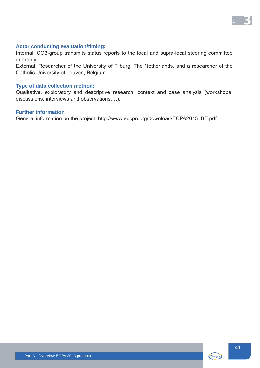

# **Actor conducting evaluation/timing:**

Internal: CO3-group transmits status reports to the local and supra-local steering committee quarterly.

External: Researcher of the University of Tilburg, The Netherlands, and a researcher of the Catholic University of Leuven, Belgium.

#### **Type of data collection method:**

Qualitative, exploratory and descriptive research; context and case analysis (workshops, discussions, interviews and observations,…).

#### **Further information**

General information on the project: http://www.eucpn.org/download/ECPA2013\_BE.pdf

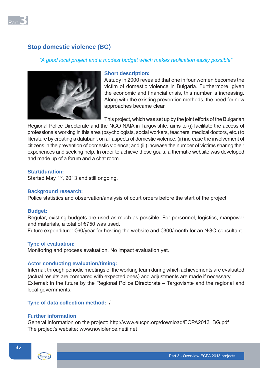

# **Stop domestic violence (BG)**

# *"A good local project and a modest budget which makes replication easily possible"*



## **Short description:**

A study in 2000 revealed that one in four women becomes the victim of domestic violence in Bulgaria. Furthermore, given the economic and financial crisis, this number is increasing. Along with the existing prevention methods, the need for new approaches became clear.

This project, which was set up by the joint efforts of the Bulgarian

Regional Police Directorate and the NGO NAIA in Targovishte, aims to (i) facilitate the access of professionals working in this area (psychologists, social workers, teachers, medical doctors, etc.) to literature by creating a databank on all aspects of domestic violence; (ii) increase the involvement of citizens in the prevention of domestic violence; and (iii) increase the number of victims sharing their experiences and seeking help. In order to achieve these goals, a thematic website was developed and made up of a forum and a chat room.

# **Start/duration:**

Started May 1<sup>st</sup>, 2013 and still ongoing.

## **Background research:**

Police statistics and observation/analysis of court orders before the start of the project.

## **Budget:**

Regular, existing budgets are used as much as possible. For personnel, logistics, manpower and materials, a total of €750 was used.

Future expenditure: €60/year for hosting the website and €300/month for an NGO consultant.

# **Type of evaluation:**

Monitoring and process evaluation. No impact evaluation yet.

## **Actor conducting evaluation/timing:**

Internal: through periodic meetings of the working team during which achievements are evaluated (actual results are compared with expected ones) and adjustments are made if necessary. External: in the future by the Regional Police Directorate – Targovishte and the regional and local governments.

# **Type of data collection method:** /

# **Further information**

General information on the project: http://www.eucpn.org/download/ECPA2013\_BG.pdf The project's website: www.noviolence.netii.net

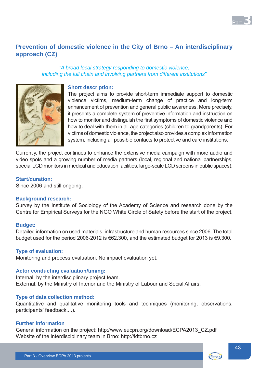

# **Prevention of domestic violence in the City of Brno – An interdisciplinary approach (CZ)**

# *"A broad local strategy responding to domestic violence, including the full chain and involving partners from different institutions"*



#### **Short description:**

The project aims to provide short-term immediate support to domestic violence victims, medium-term change of practice and long-term enhancement of prevention and general public awareness. More precisely, it presents a complete system of preventive information and instruction on how to monitor and distinguish the first symptoms of domestic violence and how to deal with them in all age categories (children to grandparents). For victims of domestic violence, the project also provides a complex information system, including all possible contacts to protective and care institutions.

Currently, the project continues to enhance the extensive media campaign with more audio and video spots and a growing number of media partners (local, regional and national partnerships, special LCD monitors in medical and education facilities, large-scale LCD screens in public spaces).

## **Start/duration:**

Since 2006 and still ongoing.

# **Background research:**

Survey by the Institute of Sociology of the Academy of Science and research done by the Centre for Empirical Surveys for the NGO White Circle of Safety before the start of the project.

## **Budget:**

Detailed information on used materials, infrastructure and human resources since 2006. The total budget used for the period 2006-2012 is €62.300, and the estimated budget for 2013 is €9.300.

# **Type of evaluation:**

Monitoring and process evaluation. No impact evaluation yet.

## **Actor conducting evaluation/timing:**

Internal: by the interdisciplinary project team. External: by the Ministry of Interior and the Ministry of Labour and Social Affairs.

# **Type of data collection method:**

Quantitative and qualitative monitoring tools and techniques (monitoring, observations, participants' feedback,...).

# **Further information**

General information on the project: http://www.eucpn.org/download/ECPA2013\_CZ.pdf Website of the interdisciplinary team in Brno: http://idtbrno.cz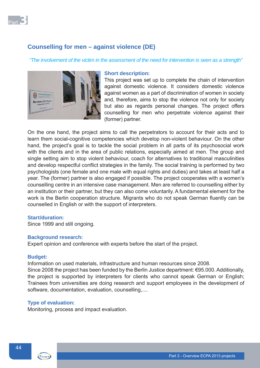

# **Counselling for men – against violence (DE)**

*"The involvement of the victim in the assessment of the need for intervention is seen as a strength"*



#### **Short description:**

This project was set up to complete the chain of intervention against domestic violence. It considers domestic violence against women as a part of discrimination of women in society and, therefore, aims to stop the violence not only for society but also as regards personal changes. The project offers counselling for men who perpetrate violence against their (former) partner.

On the one hand, the project aims to call the perpetrators to account for their acts and to learn them social-cognitive competencies which develop non-violent behaviour. On the other hand, the project's goal is to tackle the social problem in all parts of its psychosocial work with the clients and in the area of public relations, especially aimed at men. The group and single setting aim to stop violent behaviour, coach for alternatives to traditional masculinities and develop respectful conflict strategies in the family. The social training is performed by two psychologists (one female and one male with equal rights and duties) and takes at least half a year. The (former) partner is also engaged if possible. The project cooperates with a women's counselling centre in an intensive case management. Men are referred to counselling either by an institution or their partner, but they can also come voluntarily. A fundamental element for the work is the Berlin cooperation structure. Migrants who do not speak German fluently can be counselled in English or with the support of interpreters.

## **Start/duration:**

Since 1999 and still ongoing.

# **Background research:**

Expert opinion and conference with experts before the start of the project.

## **Budget:**

Information on used materials, infrastructure and human resources since 2008. Since 2008 the project has been funded by the Berlin Justice department: €95.000. Additionally, the project is supported by interpreters for clients who cannot speak German or English; Trainees from universities are doing research and support employees in the development of software, documentation, evaluation, counselling,....

## **Type of evaluation:**

Monitoring, process and impact evaluation.

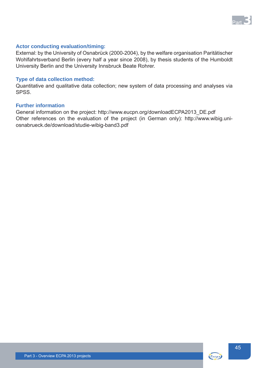

# **Actor conducting evaluation/timing:**

External: by the University of Osnabrück (2000-2004), by the welfare organisation Paritätischer Wohlfahrtsverband Berlin (every half a year since 2008), by thesis students of the Humboldt University Berlin and the University Innsbruck Beate Rohrer.

# **Type of data collection method:**

Quantitative and qualitative data collection; new system of data processing and analyses via **SPSS**.

# **Further information**

General information on the project: http://www.eucpn.org/downloadECPA2013\_DE.pdf Other references on the evaluation of the project (in German only): http://www.wibig.uniosnabrueck.de/download/studie-wibig-band3.pdf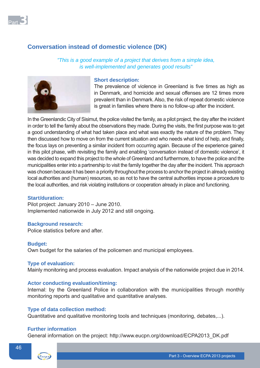

# **Conversation instead of domestic violence (DK)**

*"This is a good example of a project that derives from a simple idea, is well-implemented and generates good results"*



# **Short description:**

The prevalence of violence in Greenland is five times as high as in Denmark, and homicide and sexual offenses are 12 times more prevalent than in Denmark. Also, the risk of repeat domestic violence is great in families where there is no follow-up after the incident.

In the Greenlandic City of Sisimut, the police visited the family, as a pilot project, the day after the incident in order to tell the family about the observations they made. During the visits, the first purpose was to get a good understanding of what had taken place and what was exactly the nature of the problem. They then discussed how to move on from the current situation and who needs what kind of help, and finally, the focus lays on preventing a similar incident from occurring again. Because of the experience gained in this pilot phase, with revisiting the family and enabling 'conversation instead of domestic violence', it was decided to expand this project to the whole of Greenland and furthermore, to have the police and the municipalities enter into a partnership to visit the family together the day after the incident. This approach was chosen because it has been a priority throughout the process to anchor the project in already existing local authorities and (human) resources, so as not to have the central authorities impose a procedure to the local authorities, and risk violating institutions or cooperation already in place and functioning.

#### **Start/duration:**

Pilot project: January 2010 – June 2010. Implemented nationwide in July 2012 and still ongoing.

#### **Background research:**

Police statistics before and after.

#### **Budget:**

Own budget for the salaries of the policemen and municipal employees.

#### **Type of evaluation:**

Mainly monitoring and process evaluation. Impact analysis of the nationwide project due in 2014.

#### **Actor conducting evaluation/timing:**

Internal: by the Greenland Police in collaboration with the municipalities through monthly monitoring reports and qualitative and quantitative analyses.

# **Type of data collection method:**

Quantitative and qualitative monitoring tools and techniques (monitoring, debates,...).

#### **Further information**

General information on the project: http://www.eucpn.org/download/ECPA2013\_DK.pdf

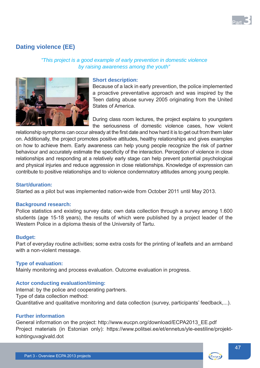

# **Dating violence (EE)**

# *"This project is a good example of early prevention in domestic violence by raising awareness among the youth"*



#### **Short description:**

Because of a lack in early prevention, the police implemented a proactive preventative approach and was inspired by the Teen dating abuse survey 2005 originating from the United States of America.

During class room lectures, the project explains to youngsters the seriousness of domestic violence cases, how violent

relationship symptoms can occur already at the first date and how hard it is to get out from them later on. Additionally, the project promotes positive attitudes, healthy relationships and gives examples on how to achieve them. Early awareness can help young people recognize the risk of partner behaviour and accurately estimate the specificity of the interaction. Perception of violence in close relationships and responding at a relatively early stage can help prevent potential psychological and physical injuries and reduce aggression in close relationships. Knowledge of expression can contribute to positive relationships and to violence condemnatory attitudes among young people.

#### **Start/duration:**

Started as a pilot but was implemented nation-wide from October 2011 until May 2013.

#### **Background research:**

Police statistics and existing survey data; own data collection through a survey among 1.600 students (age 15-18 years), the results of which were published by a project leader of the Western Police in a diploma thesis of the University of Tartu.

#### **Budget:**

Part of everyday routine activities; some extra costs for the printing of leaflets and an armband with a non-violent message.

## **Type of evaluation:**

Mainly monitoring and process evaluation. Outcome evaluation in progress.

## **Actor conducting evaluation/timing:**

Internal: by the police and cooperating partners. Type of data collection method: Quantitative and qualitative monitoring and data collection (survey, participants' feedback,...).

# **Further information**

General information on the project: http://www.eucpn.org/download/ECPA2013\_EE.pdf Project materials (in Estonian only): https://www.politsei.ee/et/ennetus/yle-eestiline/projektkohtinguvagivald.dot

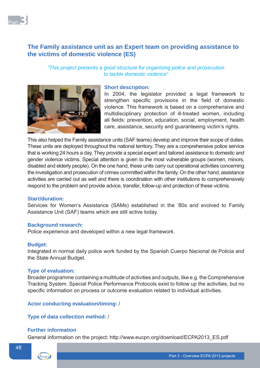

# **The Family assistance unit as an Expert team on providing assistance to the victims of domestic violence (ES)**

# *"This project presents a good structure for organising police and prosecution to tackle domestic violence"*



# **Short description:**

In 2004, the legislator provided a legal framework to strengthen specific provisions in the field of domestic violence. This framework is based on a comprehensive and multidisciplinary protection of ill-treated women, including all fields: prevention, education, social, employment, health care, assistance, security and guaranteeing victim's rights.

This also helped the Family assistance units (SAF teams) develop and improve their scope of duties. These units are deployed throughout the national territory. They are a comprehensive police service that is working 24 hours a day. They provide a special expert and tailored assistance to domestic and gender violence victims. Special attention is given to the most vulnerable groups (women, minors, disabled and elderly people). On the one hand, these units carry out operational activities concerning the investigation and prosecution of crimes committed within the family. On the other hand, assistance activities are carried out as well and there is coordination with other institutions to comprehensively respond to the problem and provide advice, transfer, follow-up and protection of these victims.

## **Start/duration:**

Services for Women's Assistance (SAMs) established in the '80s and evolved to Family Assistance Unit (SAF) teams which are still active today.

## **Background research:**

Police experience and developed within a new legal framework.

## **Budget:**

Integrated in normal daily police work funded by the Spanish Cuerpo Nacional de Policia and the State Annual Budget.

## **Type of evaluation:**

Broader programme containing a multitude of activities and outputs, like e.g. the Comprehensive Tracking System. Special Police Performance Protocols exist to follow up the activities, but no specific information on process or outcome evaluation related to individual activities.

# **Actor conducting evaluation/timing:** /

# **Type of data collection method:** /

## **Further information**

General information on the project: http://www.eucpn.org/download/ECPA2013\_ES.pdf

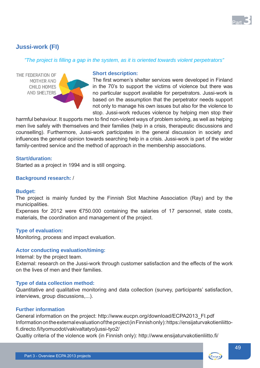

# **Jussi-work (FI)**

# *"The project is fi lling a gap in the system, as it is oriented towards violent perpetrators"*



#### **Short description:**

The first women's shelter services were developed in Finland in the 70's to support the victims of violence but there was no particular support available for perpetrators. Jussi-work is based on the assumption that the perpetrator needs support not only to manage his own issues but also for the violence to stop. Jussi-work reduces violence by helping men stop their

harmful behaviour. It supports men to find non-violent ways of problem solving, as well as helping men live safely with themselves and their families (help in a crisis, therapeutic discussions and counselling). Furthermore, Jussi-work participates in the general discussion in society and influences the general opinion towards searching help in a crisis. Jussi-work is part of the wider family-centred service and the method of approach in the membership associations.

# **Start/duration:**

Started as a project in 1994 and is still ongoing.

# **Background research:** /

## **Budget:**

The project is mainly funded by the Finnish Slot Machine Association (Ray) and by the municipalities.

Expenses for 2012 were €750.000 containing the salaries of 17 personnel, state costs, materials, the coordination and management of the project.

## **Type of evaluation:**

Monitoring, process and impact evaluation.

## **Actor conducting evaluation/timing:**

Internal: by the project team.

External: research on the Jussi-work through customer satisfaction and the effects of the work on the lives of men and their families.

## **Type of data collection method:**

Quantitative and qualitative monitoring and data collection (survey, participants' satisfaction, interviews, group discussions,...).

# **Further information**

General information on the project: http://www.eucpn.org/download/ECPA2013\_FI.pdf Information on the external evaluation of the project (in Finnish only): https://ensijaturvakotienliittofi.directo.fi/tyomuodot/vakivaltatyo/jussi-tyo2/

Qualtiy criteria of the violence work (in Finnish only): http://www.ensijaturvakotienliitto.fi/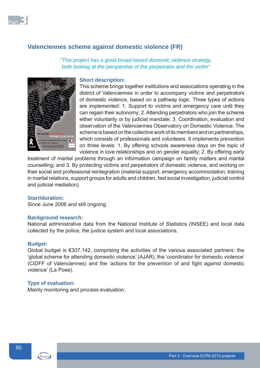

# **Valenciennes scheme against domestic violence (FR)**

*"This project has a good broad-based domestic violence strategy, both looking at the perspective of the perpetrator and the victim"*



## **Short description:**

This scheme brings together institutions and associations operating in the district of Valenciennes in order to accompany victims and perpetrators of domestic violence, based on a pathway logic. Three types of actions are implemented: 1. Support to victims and emergency care until they can regain their autonomy; 2. Attending perpetrators who join the scheme either voluntarily or by judicial mandate; 3. Coordination, evaluation and observation of the Valenciennes Observatory on Domestic Violence. The scheme is based on the collective work of its members and on partnerships, which consists of professionals and volunteers. It implements prevention on three levels: 1. By offering schools awareness days on the topic of violence in love relationships and on gender equality; 2. By offering early

treatment of marital problems through an information campaign on family matters and marital counselling; and 3. By protecting victims and perpetrators of domestic violence, and working on their social and professional reintegration (material support, emergency accommodation, training in marital relations, support groups for adults and children, fast social investigation, judicial control and judicial mediation).

#### **Start/duration:**

Since June 2006 and still ongoing.

#### **Background research:**

National administrative data from the National Institute of Statistics (INSEE) and local data collected by the police, the justice system and local associations.

#### **Budget:**

Global budget is €307.142, comprising the activities of the various associated partners: the 'global scheme for attending domestic violence' (AJAR), the 'coordinator for domestic violence' (CIDFF of Valenciennes) and the 'actions for the prevention of and fight against domestic violence' (La Pose).

# **Type of evaluation:**

Mainly monitoring and process evaluation.

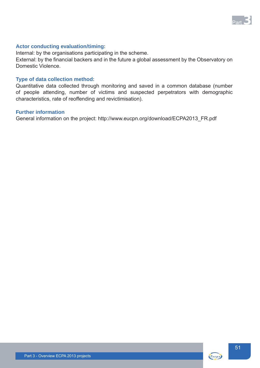

# **Actor conducting evaluation/timing:**

Internal: by the organisations participating in the scheme.

External: by the financial backers and in the future a global assessment by the Observatory on Domestic Violence.

# **Type of data collection method:**

Quantitative data collected through monitoring and saved in a common database (number of people attending, number of victims and suspected perpetrators with demographic characteristics, rate of reoffending and revictimisation).

# **Further information**

General information on the project: http://www.eucpn.org/download/ECPA2013\_FR.pdf

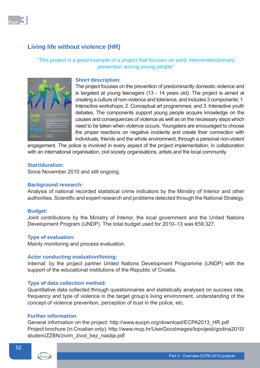

# **Living life without violence (HR)**

# *"This project is a good example of a project that focuses on early intervention/primary prevention among young people"*



# **Short description:**

The project focuses on the prevention of predominantly domestic violence and is targeted at young teenagers (13 - 14 years old). The project is aimed at creating a culture of non-violence and tolerance, and includes 3 components: 1. Interactive workshops; 2. Conceptual art programmes; and 3. Interactive youth debates. The components support young people acquire knowledge on the causes and consequences of violence as well as on the necessary steps which need to be taken when violence occurs. Youngsters are encouraged to choose the proper reactions on negative incidents and create their connection with individuals, friends and the whole environment, through a personal non-violent

engagement. The police is involved in every aspect of the project implementation, in collaboration with an international organisation, civil society organisations, artists and the local community.

# **Start/duration:**

Since November 2010 and still ongoing.

#### **Background research:**

Analysis of national recorded statistical crime indicators by the Ministry of Interior and other authorities. Scientific and expert research and problems detected through the National Strategy.

#### **Budget:**

Joint contributions by the Ministry of Interior, the local government and the United Nations Development Program (UNDP). The total budget used for 2010–13 was €59.327.

# **Type of evaluation:**

Mainly monitoring and process evaluation.

#### **Actor conducting evaluation/timing:**

Internal: by the project partner United Nations Development Programme (UNDP) with the support of the educational institutions of the Republic of Croatia.

## **Type of data collection method:**

Quantitative data collected through questionnaires and statistically analysed on success rate, frequency and type of violence in the target group's living environment, understanding of the concept of violence prevention, perception of trust in the police, etc.

# **Further information**

General information on the project: http://www.eucpn.org/download/ECPA2013\_HR.pdf Project brochure (in Croatian only): http://www.mup.hr/UserDocsImages/topvijesti/godina2010/ studeni/ZZBN/zivim\_zivot\_bez\_nasilja.pdf

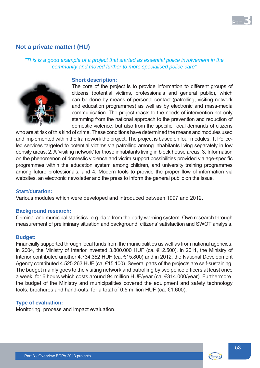

# **Not a private matter! (HU)**

*"This is a good example of a project that started as essential police involvement in the community and moved further to more specialised police care"*



#### **Short description:**

The core of the project is to provide information to different groups of citizens (potential victims, professionals and general public), which can be done by means of personal contact (patrolling, visiting network and education programmes) as well as by electronic and mass-media communication. The project reacts to the needs of intervention not only stemming from the national approach to the prevention and reduction of domestic violence, but also from the specific, local demands of citizens

who are at risk of this kind of crime. These conditions have determined the means and modules used and implemented within the framework the project. The project is based on four modules: 1. Policeled services targeted to potential victims via patrolling among inhabitants living separately in low density areas; 2. A 'visiting network' for those inhabitants living in block house areas; 3. Information on the phenomenon of domestic violence and victim support possibilities provided via age-specific programmes within the education system among children, and university training programmes among future professionals; and 4. Modern tools to provide the proper flow of information via websites, an electronic newsletter and the press to inform the general public on the issue.

#### **Start/duration:**

Various modules which were developed and introduced between 1997 and 2012.

#### **Background research:**

Criminal and municipal statistics, e.g. data from the early warning system. Own research through measurement of preliminary situation and background, citizens' satisfaction and SWOT analysis.

# **Budget:**

Financially supported through local funds from the municipalities as well as from national agencies: in 2004, the Ministry of Interior invested 3.800.000 HUF (ca. €12.500), in 2011, the Ministry of Interior contributed another 4.734.352 HUF (ca. €15.800) and in 2012, the National Development Agency contributed 4.525.263 HUF (ca. €15.100). Several parts of the projects are self-sustaining. The budget mainly goes to the visiting network and patrolling by two police officers at least once a week, for 6 hours which costs around 94 million HUF/year (ca. €314.000/year). Furthermore, the budget of the Ministry and municipalities covered the equipment and safety technology tools, brochures and hand-outs, for a total of 0.5 million HUF (ca. €1.600).

## **Type of evaluation:**

Monitoring, process and impact evaluation.



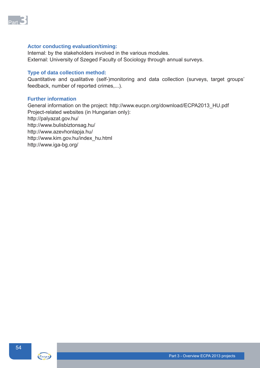

# **Actor conducting evaluation/timing:**

Internal: by the stakeholders involved in the various modules. External: University of Szeged Faculty of Sociology through annual surveys.

# **Type of data collection method:**

Quantitative and qualitative (self-)monitoring and data collection (surveys, target groups' feedback, number of reported crimes,...).

# **Further information**

General information on the project: http://www.eucpn.org/download/ECPA2013\_HU.pdf Project-related websites (in Hungarian only): http://palyazat.gov.hu/ http://www.bulisbiztonsag.hu/ http://www.azevhonlapja.hu/ http://www.kim.gov.hu/index\_hu.html http://www.iga-bg.org/

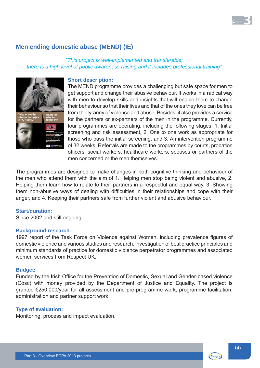

# **Men ending domestic abuse (MEND) (IE)**

# *"This project is well-implemented and transferable; there is a high level of public awareness raising and it includes professional training"*



# **Short description:**

The MEND programme provides a challenging but safe space for men to get support and change their abusive behaviour. It works in a radical way with men to develop skills and insights that will enable them to change their behaviour so that their lives and that of the ones they love can be free from the tyranny of violence and abuse. Besides, it also provides a service for the partners or ex-partners of the men in the programme. Currently, four programmes are operating, including the following stages: 1. Initial screening and risk assessment, 2. One to one work as appropriate for those who pass the initial screening, and 3. An intervention programme of 32 weeks. Referrals are made to the programmes by courts, probation officers, social workers, healthcare workers, spouses or partners of the men concerned or the men themselves.

The programmes are designed to make changes in both cognitive thinking and behaviour of the men who attend them with the aim of 1. Helping men stop being violent and abusive, 2. Helping them learn how to relate to their partners in a respectful and equal way, 3. Showing them non-abusive ways of dealing with difficulties in their relationships and cope with their anger, and 4. Keeping their partners safe from further violent and abusive behaviour.

## **Start/duration:**

Since 2002 and still ongoing.

## **Background research:**

1997 report of the Task Force on Violence against Women, including prevalence figures of domestic violence and various studies and research; investigation of best practice principles and minimum standards of practice for domestic violence perpetrator programmes and associated women services from Respect UK.

#### **Budget:**

Funded by the Irish Office for the Prevention of Domestic, Sexual and Gender-based violence (Cosc) with money provided by the Department of Justice and Equality. The project is granted €250.000/year for all assessment and pre-programme work, programme facilitation, administration and partner support work.

## **Type of evaluation:**

Monitoring, process and impact evaluation.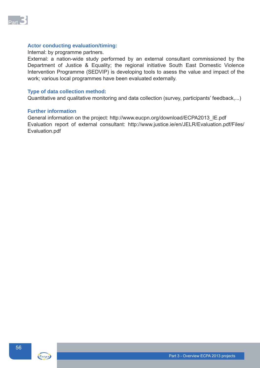

# **Actor conducting evaluation/timing:**

#### Internal: by programme partners.

External: a nation-wide study performed by an external consultant commissioned by the Department of Justice & Equality; the regional initiative South East Domestic Violence Intervention Programme (SEDVIP) is developing tools to asess the value and impact of the work; various local programmes have been evaluated externally.

### **Type of data collection method:**

Quantitative and qualitative monitoring and data collection (survey, participants' feedback,...)

#### **Further information**

General information on the project: http://www.eucpn.org/download/ECPA2013\_IE.pdf Evaluation report of external consultant: http://www.justice.ie/en/JELR/Evaluation.pdf/Files/ Evaluation.pdf



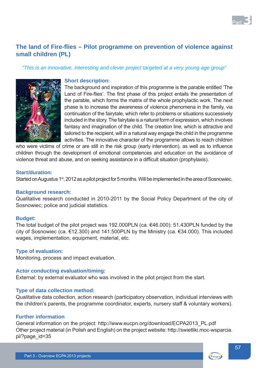

# **The land of Fire-fl ies – Pilot programme on prevention of violence against small children (PL)**

*"This is an innovative, interesting and clever project targeted at a very young age group"*



# **Short description:**

The background and inspiration of this programme is the parable entitled 'The Land of Fire-flies'. The first phase of this project entails the presentation of the parable, which forms the matrix of the whole prophylactic work. The next phase is to increase the awareness of violence phenomena in the family, via continuation of the fairytale, which refer to problems or situations successively included in the story. The fairytale is a natural form of expression, which involves fantasy and imagination of the child. The creation line, which is attractive and tailored to the recipient, will in a natural way engage the child in the programme activities. The innovative character of the programme allows to reach children

who were victims of crime or are still in the risk group (early intervention), as well as to influence children through the development of emotional competences and education on the avoidance of violence threat and abuse, and on seeking assistance in a difficult situation (prophylaxis).

# **Start/duration:**

Started on Augustus 1<sup>st</sup>, 2012 as a pilot project for 5 months. Will be implemented in the area of Sosnowiec.

## **Background research:**

Qualitative research conducted in 2010-2011 by the Social Policy Department of the city of Sosnowiec; police and judicial statistics.

## **Budget:**

The total budget of the pilot project was 192.000PLN (ca. €46.000): 51.430PLN funded by the city of Sosnowiec (ca. €12.300) and 141.500PLN by the Ministry (ca. €34.000). This included wages, implementation, equipment, material, etc.

## **Type of evaluation:**

Monitoring, process and impact evaluation.

## **Actor conducting evaluation/timing:**

External: by external evaluator who was involved in the pilot project from the start.

# **Type of data collection method:**

Qualitative data collection, action research (participatory observation, individual interviews with the children's parents, the programme coordinator, experts, nursery staff & voluntary workers).

## **Further information**

General information on the project: http://www.eucpn.org/download/ECPA2013\_PL.pdf Other project material (in Polish and English) on the project website: http://swietliki.moc-wsparcia. pl/?page\_id=35

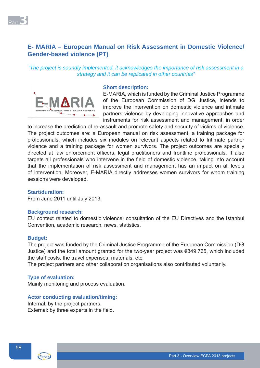

# **E- MARIA – European Manual on Risk Assessment in Domestic Violence/ Gender-based violence (PT)**

# *"The project is soundly implemented, it acknowledges the importance of risk assessment in a strategy and it can be replicated in other countries"*



#### **Short description:**

E-MARIA, which is funded by the Criminal Justice Programme of the European Commission of DG Justice, intends to improve the intervention on domestic violence and intimate partners violence by developing innovative approaches and instruments for risk assessment and management, in order

to increase the prediction of re-assault and promote safety and security of victims of violence. The project outcomes are: a European manual on risk assessment, a training package for professionals, which includes six modules on relevant aspects related to Intimate partner violence and a training package for women survivors. The project outcomes are specially directed at law enforcement officers, legal practitioners and frontline professionals. It also targets all professionals who intervene in the field of domestic violence, taking into account that the implementation of risk assessment and management has an impact on all levels of intervention. Moreover, E-MARIA directly addresses women survivors for whom training sessions were developed.

# **Start/duration:**

From June 2011 until July 2013.

## **Background research:**

EU context related to domestic violence: consultation of the EU Directives and the Istanbul Convention, academic research, news, statistics.

## **Budget:**

The project was funded by the Criminal Justice Programme of the European Commission (DG Justice) and the total amount granted for the two-year project was €349.765, which included the staff costs, the travel expenses, materials, etc.

The project partners and other collaboration organisations also contributed voluntarily.

# **Type of evaluation:**

Mainly monitoring and process evaluation.

## **Actor conducting evaluation/timing:**

Internal: by the project partners. External: by three experts in the field.

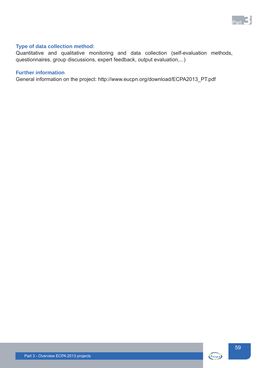

# **Type of data collection method:**

Quantitative and qualitative monitoring and data collection (self-evaluation methods, questionnaires, group discussions, expert feedback, output evaluation,...)

# **Further information**

General information on the project: http://www.eucpn.org/download/ECPA2013\_PT.pdf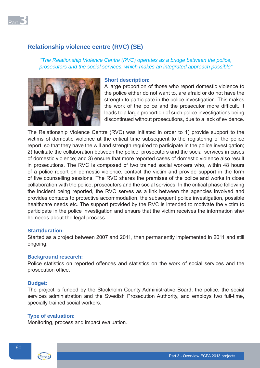

# **Relationship violence centre (RVC) (SE)**

# *"The Relationship Violence Centre (RVC) operates as a bridge between the police, prosecutors and the social services, which makes an integrated approach possible"*



# **Short description:**

A large proportion of those who report domestic violence to the police either do not want to, are afraid or do not have the strength to participate in the police investigation. This makes the work of the police and the prosecutor more difficult. It leads to a large proportion of such police investigations being discontinued without prosecutions, due to a lack of evidence.

The Relationship Violence Centre (RVC) was initiated in order to 1) provide support to the victims of domestic violence at the critical time subsequent to the registering of the police report, so that they have the will and strength required to participate in the police investigation; 2) facilitate the collaboration between the police, prosecutors and the social services in cases of domestic violence; and 3) ensure that more reported cases of domestic violence also result in prosecutions. The RVC is composed of two trained social workers who, within 48 hours of a police report on domestic violence, contact the victim and provide support in the form of five counselling sessions. The RVC shares the premises of the police and works in close collaboration with the police, prosecutors and the social services. In the critical phase following the incident being reported, the RVC serves as a link between the agencies involved and provides contacts to protective accommodation, the subsequent police investigation, possible healthcare needs etc. The support provided by the RVC is intended to motivate the victim to participate in the police investigation and ensure that the victim receives the information she/ he needs about the legal process.

# **Start/duration:**

Started as a project between 2007 and 2011, then permanently implemented in 2011 and still ongoing.

## **Background research:**

Police statistics on reported offences and statistics on the work of social services and the prosecution office.

## **Budget:**

The project is funded by the Stockholm County Administrative Board, the police, the social services administration and the Swedish Prosecution Authority, and employs two full-time, specially trained social workers.

#### **Type of evaluation:**

Monitoring, process and impact evaluation.

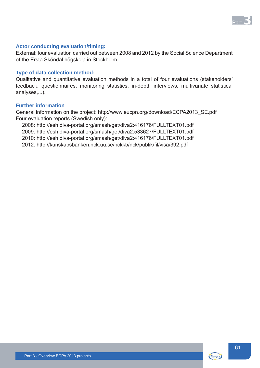

# **Actor conducting evaluation/timing:**

External: four evaluation carried out between 2008 and 2012 by the Social Science Department of the Ersta Sköndal högskola in Stockholm.

## **Type of data collection method:**

Qualitative and quantitative evaluation methods in a total of four evaluations (stakeholders' feedback, questionnaires, monitoring statistics, in-depth interviews, multivariate statistical analyses,...).

# **Further information**

General information on the project: http://www.eucpn.org/download/ECPA2013\_SE.pdf Four evaluation reports (Swedish only):

2008: http://esh.diva-portal.org/smash/get/diva2:416176/FULLTEXT01.pdf 2009: http://esh.diva-portal.org/smash/get/diva2:533627/FULLTEXT01.pdf 2010: http://esh.diva-portal.org/smash/get/diva2:416176/FULLTEXT01.pdf 2012: http://kunskapsbanken.nck.uu.se/nckkb/nck/publik/fil/visa/392.pdf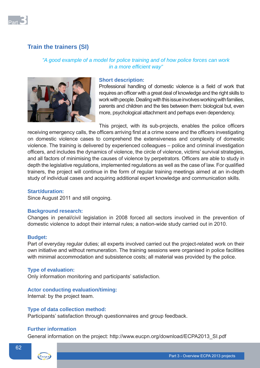

# **Train the trainers (SI)**

# *"A good example of a model for police training and of how police forces can work in a more efficient way*"



### **Short description:**

Professional handling of domestic violence is a field of work that requires an officer with a great deal of knowledge and the right skills to work with people. Dealing with this issue involves working with families, parents and children and the ties between them: biological but, even more, psychological attachment and perhaps even dependency.

This project, with its sub-projects, enables the police officers

receiving emergency calls, the officers arriving first at a crime scene and the officers investigating on domestic violence cases to comprehend the extensiveness and complexity of domestic violence. The training is delivered by experienced colleagues – police and criminal investigation officers, and includes the dynamics of violence, the circle of violence, victims' survival strategies, and all factors of minimising the causes of violence by perpetrators. Officers are able to study in depth the legislative regulations, implemented regulations as well as the case of law. For qualified trainers, the project will continue in the form of regular training meetings aimed at an in-depth study of individual cases and acquiring additional expert knowledge and communication skills.

# **Start/duration:**

Since August 2011 and still ongoing.

#### **Background research:**

Changes in penal/civil legislation in 2008 forced all sectors involved in the prevention of domestic violence to adopt their internal rules; a nation-wide study carried out in 2010.

#### **Budget:**

Part of everyday regular duties; all experts involved carried out the project-related work on their own initiative and without remuneration. The training sessions were organised in police facilities with minimal accommodation and subsistence costs; all material was provided by the police.

### **Type of evaluation:**

Only information monitoring and participants' satisfaction.

#### **Actor conducting evaluation/timing:**

Internal: by the project team.

#### **Type of data collection method:**

Participants' satisfaction through questionnaires and group feedback.

# **Further information**

General information on the project: http://www.eucpn.org/download/ECPA2013\_SI.pdf

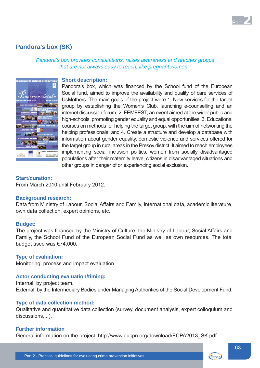

# **Pandora's box (SK)**

*"Pandora's box provides consultations, raises awareness and reaches groups that are not always easy to reach, like pregnant women"*



#### **Short description:**

Pandora's box, which was financed by the School fund of the European Social fund, aimed to improve the availability and quality of care services of UsMothers. The main goals of the project were 1. New services for the target group by establishing the Women's Club, launching e-counselling and an internet discussion forum; 2. FEMFEST, an event aimed at the wider public and high-schools, promoting gender equality and equal opportunities; 3. Educational courses on methods for helping the target group, with the aim of networking the helping professionals; and 4. Create a structure and develop a database with information about gender equality, domestic violence and services offered for the target group in rural areas in the Presov district. It aimed to reach employees implementing social inclusion politics, women from socially disadvantaged populations after their maternity leave, citizens in disadvantaged situations and other groups in danger of or experiencing social exclusion.

## **Start/duration:**

From March 2010 until February 2012.

#### **Background research:**

Data from Ministry of Labour, Social Affairs and Family, international data, academic literature, own data collection, expert opinions, etc.

## **Budget:**

The project was financed by the Ministry of Culture, the Ministry of Labour, Social Affairs and Family, the School Fund of the European Social Fund as well as own resources. The total budget used was €74.000.

## **Type of evaluation:**

Monitoring, process and impact evaluation.

## **Actor conducting evaluation/timing:**

Internal: by project team. External: by the Intermediary Bodies under Managing Authorities of the Social Development Fund.

## **Type of data collection method:**

Qualitative and quantitative data collection (survey, document analysis, expert colloquium and discussions....).

#### **Further information**

General information on the project: http://www.eucpn.org/download/ECPA2013\_SK.pdf

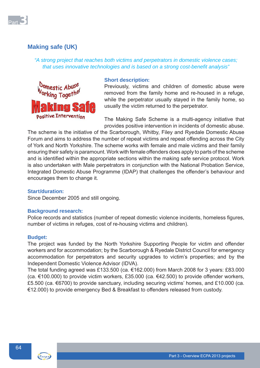

# **Making safe (UK)**

*"A strong project that reaches both victims and perpetrators in domestic violence cases; that uses innovative technologies and is based on a strong cost-benefi t analysis"*



# **Short description:**

Previously, victims and children of domestic abuse were removed from the family home and re-housed in a refuge, while the perpetrator usually stayed in the family home, so usually the victim returned to the perpetrator.

The Making Safe Scheme is a multi-agency initiative that provides positive intervention in incidents of domestic abuse.

The scheme is the initiative of the Scarborough, Whitby, Filey and Ryedale Domestic Abuse Forum and aims to address the number of repeat victims and repeat offending across the City of York and North Yorkshire. The scheme works with female and male victims and their family ensuring their safety is paramount. Work with female offenders does apply to parts of the scheme and is identified within the appropriate sections within the making safe service protocol. Work is also undertaken with Male perpetrators in conjunction with the National Probation Service, Integrated Domestic Abuse Programme (IDAP) that challenges the offender's behaviour and encourages them to change it.

# **Start/duration:**

Since December 2005 and still ongoing.

# **Background research:**

Police records and statistics (number of repeat domestic violence incidents, homeless figures, number of victims in refuges, cost of re-housing victims and children).

## **Budget:**

The project was funded by the North Yorkshire Supporting People for victim and offender workers and for accommodation; by the Scarborough & Ryedale District Council for emergency accommodation for perpetrators and security upgrades to victim's properties; and by the Independent Domestic Violence Advisor (IDVA).

The total funding agreed was £133.500 (ca.  $€162.000$ ) from March 2008 for 3 years: £83.000 (ca. €100.000) to provide victim workers, £35.000 (ca. €42.500) to provide offender workers, £5.500 (ca. €6700) to provide sanctuary, including securing victims' homes, and £10.000 (ca. €12.000) to provide emergency Bed & Breakfast to offenders released from custody.

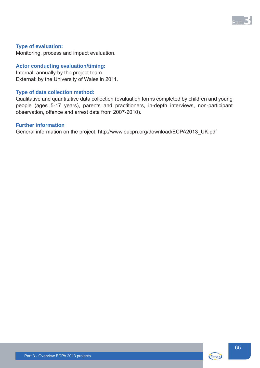

# **Type of evaluation:**

Monitoring, process and impact evaluation.

# **Actor conducting evaluation/timing:**

Internal: annually by the project team. External: by the University of Wales in 2011.

### **Type of data collection method:**

Qualitative and quantitative data collection (evaluation forms completed by children and young people (ages 5-17 years), parents and practitioners, in-depth interviews, non-participant observation, offence and arrest data from 2007-2010).

# **Further information**

General information on the project: http://www.eucpn.org/download/ECPA2013\_UK.pdf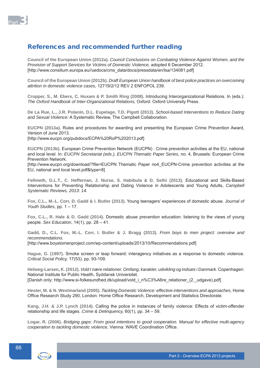

# References and recommended further reading

**Council of the European Union (2012a).** *Council Conclusions on Combating Violence Against Women, and the Provision of Support Services for Victims of Domestic Violence,* adopted 6 December 2012. [http://www.consilium.europa.eu//uedocs/cms\_data/docs/pressdata/en/lsa/134081.pdf]

**Council of the European Union (2012b).** *Draft European Union handbook of best police practices on overcoming attrition in domestic violence cases,* 12719/2/12 REV 2 ENFOPOL 239.

**Cropper, S., M. Ebers, C. Huxam & P. Smith Ring (2008).** Introducing Interorganizational Relations. In (eds.): *The Oxford Handbook of Inter-Organizational Relations,* Oxford: Oxford University Press.

**De La Rue, L., J.R. Polanin, D.L. Espelage, T.D. Pigott (2013).** *School-based Interventions to Reduce Dating and Sexual Violence:* A Systematic Review, The Campbell Collaboration.

**EUCPN (2013a).** Rules and procedures for awarding and presenting the European Crime Prevention Award, Version of June 2013.

[http://www.eucpn.org/pubdocs/ECPA%20RoP%202013.pdf]

**EUCPN (2013b).** European Crime Prevention Network (EUCPN) : Crime prevention activities at the EU, national and local level. In: *EUCPN Secretariat (eds.), EUCPN Thematic Paper Series,* no. 4, Brussels: European Crime Prevention Network.

[http://www.eucpn.org/download/?file=EUCPN Thematic Paper no4 EUCPN-Crime prevention activities at the EU, national and local level.pdf&type=8]

**Fellmeth, G.L.T., C. Heffernan, J. Nurse, S. Habibula & D. Sethi (2013).** Educational and Skills-Based Interventions for Preventing Relationship and Dating Violence in Adolescents and Young Adults, *Campbell Systematic Reviews, 2013: 14.*

**Fox, C.L., M.-L. Corr, D. Gadd & I. Butler (2013).** Young teenagers' experiences of domestic abuse. *Journal of Youth Studies*, pp. 1 – 17.

**Fox, C.L., R. Hale & D. Gadd (2014).** Domestic abuse prevention education: listening to the views of young people. *Sex Education*, 14(1), pp. 28 – 41.

**Gadd, D., C.L. Fox, M.-L. Corr, I. Butler & J. Bragg (2013).** *From boys to men project: overview and recommendations.*  [http://www.boystomenproject.com/wp-content/uploads/2013/10/Recommendations.pdf]

**Hague, G. (1997).** Smoke screen or leap forward: interagency initiatives as a response to domestic violence. *Critical Social Policy,* 17(53), pp. 93-109.

**Helweg-Larsen, K. (2012).** *Vold I nære relationer. Omfang, karakter, udvikling og indsats i Danmark.* Copenhagen: National Institute for Public Health, Syddansk Universitet. [Danish only: http://www.si-folkesundhed.dk/upload/vold\_i\_n%C3%A6re\_relationer\_(2.\_udgave).pdf]

**Hester, M. & N. Westmarland (2005).** *Tackling Domestic Violence: effective interventions and approaches,* Home Office Research Study 290, London: Home Office Research, Development and Statistics Directorate.

**Kang, J.H. & J.P. Lynch (2014).** Calling the police in instances of family violence: Effects of victim-offender relationship and life stages. *Crime & Delinquency,* 60(1), pp. 34 – 59.

**Logar, R. (2006).** *Bridging gaps: From good intentions to good cooperation. Manual for effective multi-agency*  cooperation to tackling domestic violence, Vienna: WAVE Coordination Office.

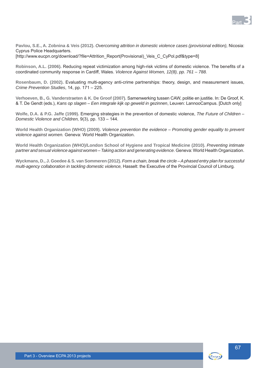

**Pavlou, S.E., A. Zobnina & Veis (2012).** *Overcoming attrition in domestic violence cases (provisional edition),* Nicosia: Cyprus Police Headquarters. [http://www.eucpn.org/download/?file=Attrition\_Report(Provisional)\_Veis\_C\_CyPol.pdf&type=8]

Robinson, A.L. (2006). Reducing repeat victimization among high-risk victims of domestic violence. The benefits of a coordinated community response in Cardiff, Wales. *Violence Against Women, 12(8), pp. 761 – 788.* 

**Rosenbaum, D. (2002).** Evaluating multi-agency anti-crime partnerships: theory, design, and measurement issues, *Crime Prevention Studies*, 14, pp. 171 – 225.

**Verhoeven, B., G. Vanderstraeten & K. De Groof (2007).** Samenwerking tussen CAW, politie en justitie. In: De Groof, K. & T. De Gendt (eds.), *Kans op slagen – Een integrale kijk op geweld in gezinnen*, Leuven: LannooCampus. [Dutch only]

**Wolfe, D.A. & P.G. Jaffe (1999).** Emerging strategies in the prevention of domestic violence, *The Future of Children – Domestic Violence and Children,* 9(3), pp. 133 – 144.

**World Health Organization (WHO) (2009).** *Violence prevention the evidence – Promoting gender equality to prevent violence against women.* Geneva: World Health Organization.

**World Health Organization (WHO)/London School of Hygiene and Tropical Medicine (2010).** *Preventing intimate partner and sexual violence against women – Taking action and generating evidence.* Geneva: World Health Organization.

**Wyckmans, D., J. Goedee & S. van Sommeren (2012).** *Form a chain, break the circle – A phased entry plan for successful multi-agency collaboration in tackling domestic violence,* Hasselt: the Executive of the Provincial Council of Limburg.

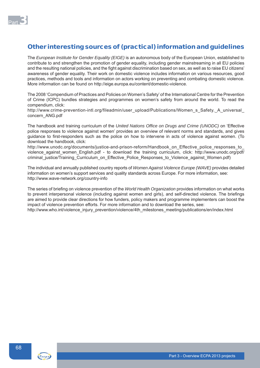

# Other interesting sources of (practical) information and guidelines

The *European Institute for Gender Equality (EIGE)* is an autonomous body of the European Union, established to contribute to and strengthen the promotion of gender equality, including gender mainstreaming in all EU policies and the resulting national policies, and the fight against discrimination based on sex, as well as to raise EU citizens' awareness of gender equality. Their work on domestic violence includes information on various resources, good practices, methods and tools and information on actors working on preventing and combating domestic violence. More information can be found on http://eige.europa.eu/content/domestic-violence.

The 2008 'Compendium of Practices and Policies on Women's Safety' of the International Centre for the Prevention of Crime (ICPC) bundles strategies and programmes on women's safety from around the world. To read the compendium, click:

http://www.crime-prevention-intl.org/fileadmin/user\_upload/Publications/Women\_s\_Safety.\_A\_universal concern\_ANG.pdf

The handbook and training curriculum of the *United Nations Offi ce on Drugs and Crime (UNODC)* on 'Effective police responses to violence against women' provides an overview of relevant norms and standards, and gives guidance to first-responders such as the police on how to intervene in acts of violence against women. (To download the handbook, click:

http://www.unodc.org/documents/justice-and-prison-reform/Handbook\_on\_Effective\_police\_responses\_to violence against women English.pdf - to download the training curriculum, click: http://www.unodc.org/pdf/ criminal justice/Training Curriculum on Effective Police Responses to Violence against Women.pdf)

The individual and annually published country reports of *Women Against Violence Europe (WAVE)* provides detailed information on women's support services and quality standards across Europe. For more information, see: http://www.wave-network.org/country-info

The series of briefing on violence prevention of the *World Health Organization* provides information on what works to prevent interpersonal violence (including against women and girls), and self-directed violence. The briefings are aimed to provide clear directions for how funders, policy makers and programme implementers can boost the impact of violence prevention efforts. For more information and to download the series, see: http://www.who.int/violence\_injury\_prevention/violence/4th\_milestones\_meeting/publications/en/index.html